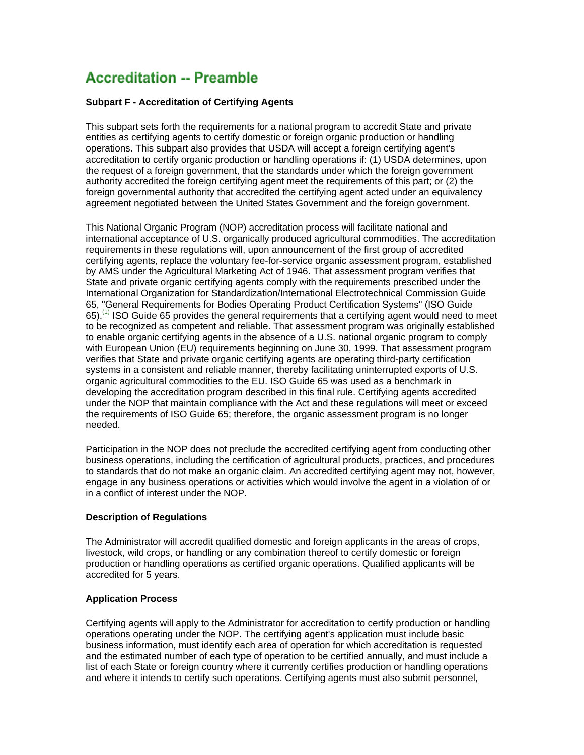# **Accreditation -- Preamble**

## **Subpart F - Accreditation of Certifying Agents**

This subpart sets forth the requirements for a national program to accredit State and private entities as certifying agents to certify domestic or foreign organic production or handling operations. This subpart also provides that USDA will accept a foreign certifying agent's accreditation to certify organic production or handling operations if: (1) USDA determines, upon the request of a foreign government, that the standards under which the foreign government authority accredited the foreign certifying agent meet the requirements of this part; or (2) the foreign governmental authority that accredited the certifying agent acted under an equivalency agreement negotiated between the United States Government and the foreign government.

This National Organic Program (NOP) accreditation process will facilitate national and international acceptance of U.S. organically produced agricultural commodities. The accreditation requirements in these regulations will, upon announcement of the first group of accredited certifying agents, replace the voluntary fee-for-service organic assessment program, established by AMS under the Agricultural Marketing Act of 1946. That assessment program verifies that State and private organic certifying agents comply with the requirements prescribed under the International Organization for Standardization/International Electrotechnical Commission Guide 65, "General Requirements for Bodies Operating Product Certification Systems" (ISO Guide  $65$ .<sup>(1)</sup> ISO Guide 65 provides the general requirements that a certifying agent would need to meet to be recognized as competent and reliable. That assessment program was originally established to enable organic certifying agents in the absence of a U.S. national organic program to comply with European Union (EU) requirements beginning on June 30, 1999. That assessment program verifies that State and private organic certifying agents are operating third-party certification systems in a consistent and reliable manner, thereby facilitating uninterrupted exports of U.S. organic agricultural commodities to the EU. ISO Guide 65 was used as a benchmark in developing the accreditation program described in this final rule. Certifying agents accredited under the NOP that maintain compliance with the Act and these regulations will meet or exceed the requirements of ISO Guide 65; therefore, the organic assessment program is no longer needed.

Participation in the NOP does not preclude the accredited certifying agent from conducting other business operations, including the certification of agricultural products, practices, and procedures to standards that do not make an organic claim. An accredited certifying agent may not, however, engage in any business operations or activities which would involve the agent in a violation of or in a conflict of interest under the NOP.

# **Description of Regulations**

The Administrator will accredit qualified domestic and foreign applicants in the areas of crops, livestock, wild crops, or handling or any combination thereof to certify domestic or foreign production or handling operations as certified organic operations. Qualified applicants will be accredited for 5 years.

#### **Application Process**

Certifying agents will apply to the Administrator for accreditation to certify production or handling operations operating under the NOP. The certifying agent's application must include basic business information, must identify each area of operation for which accreditation is requested and the estimated number of each type of operation to be certified annually, and must include a list of each State or foreign country where it currently certifies production or handling operations and where it intends to certify such operations. Certifying agents must also submit personnel,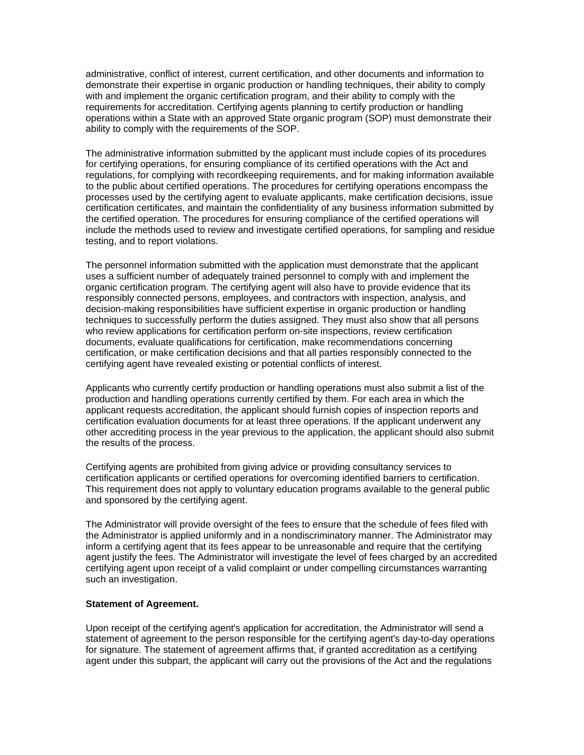administrative, conflict of interest, current certification, and other documents and information to demonstrate their expertise in organic production or handling techniques, their ability to comply with and implement the organic certification program, and their ability to comply with the requirements for accreditation. Certifying agents planning to certify production or handling operations within a State with an approved State organic program (SOP) must demonstrate their ability to comply with the requirements of the SOP.

The administrative information submitted by the applicant must include copies of its procedures for certifying operations, for ensuring compliance of its certified operations with the Act and regulations, for complying with recordkeeping requirements, and for making information available to the public about certified operations. The procedures for certifying operations encompass the processes used by the certifying agent to evaluate applicants, make certification decisions, issue certification certificates, and maintain the confidentiality of any business information submitted by the certified operation. The procedures for ensuring compliance of the certified operations will include the methods used to review and investigate certified operations, for sampling and residue testing, and to report violations.

The personnel information submitted with the application must demonstrate that the applicant uses a sufficient number of adequately trained personnel to comply with and implement the organic certification program. The certifying agent will also have to provide evidence that its responsibly connected persons, employees, and contractors with inspection, analysis, and decision-making responsibilities have sufficient expertise in organic production or handling techniques to successfully perform the duties assigned. They must also show that all persons who review applications for certification perform on-site inspections, review certification documents, evaluate qualifications for certification, make recommendations concerning certification, or make certification decisions and that all parties responsibly connected to the certifying agent have revealed existing or potential conflicts of interest.

Applicants who currently certify production or handling operations must also submit a list of the production and handling operations currently certified by them. For each area in which the applicant requests accreditation, the applicant should furnish copies of inspection reports and certification evaluation documents for at least three operations. If the applicant underwent any other accrediting process in the year previous to the application, the applicant should also submit the results of the process.

Certifying agents are prohibited from giving advice or providing consultancy services to certification applicants or certified operations for overcoming identified barriers to certification. This requirement does not apply to voluntary education programs available to the general public and sponsored by the certifying agent.

The Administrator will provide oversight of the fees to ensure that the schedule of fees filed with the Administrator is applied uniformly and in a nondiscriminatory manner. The Administrator may inform a certifying agent that its fees appear to be unreasonable and require that the certifying agent justify the fees. The Administrator will investigate the level of fees charged by an accredited certifying agent upon receipt of a valid complaint or under compelling circumstances warranting such an investigation.

#### **Statement of Agreement.**

Upon receipt of the certifying agent's application for accreditation, the Administrator will send a statement of agreement to the person responsible for the certifying agent's day-to-day operations for signature. The statement of agreement affirms that, if granted accreditation as a certifying agent under this subpart, the applicant will carry out the provisions of the Act and the regulations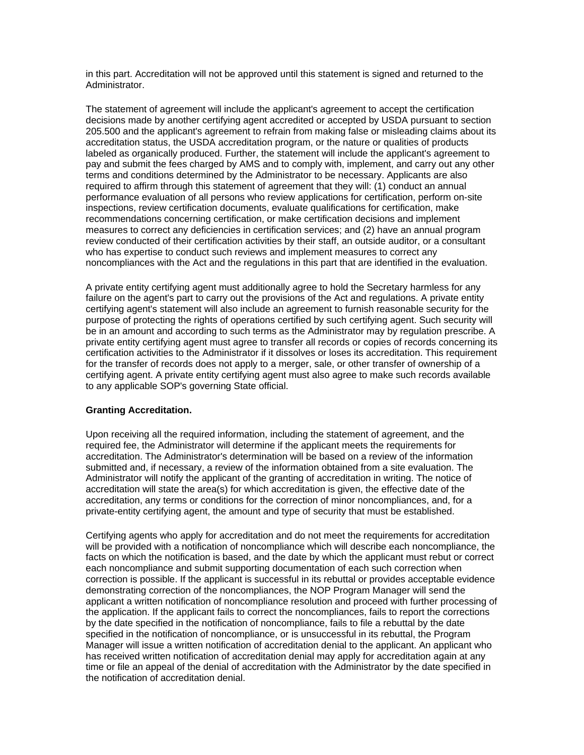in this part. Accreditation will not be approved until this statement is signed and returned to the Administrator.

The statement of agreement will include the applicant's agreement to accept the certification decisions made by another certifying agent accredited or accepted by USDA pursuant to section 205.500 and the applicant's agreement to refrain from making false or misleading claims about its accreditation status, the USDA accreditation program, or the nature or qualities of products labeled as organically produced. Further, the statement will include the applicant's agreement to pay and submit the fees charged by AMS and to comply with, implement, and carry out any other terms and conditions determined by the Administrator to be necessary. Applicants are also required to affirm through this statement of agreement that they will: (1) conduct an annual performance evaluation of all persons who review applications for certification, perform on-site inspections, review certification documents, evaluate qualifications for certification, make recommendations concerning certification, or make certification decisions and implement measures to correct any deficiencies in certification services; and (2) have an annual program review conducted of their certification activities by their staff, an outside auditor, or a consultant who has expertise to conduct such reviews and implement measures to correct any noncompliances with the Act and the regulations in this part that are identified in the evaluation.

A private entity certifying agent must additionally agree to hold the Secretary harmless for any failure on the agent's part to carry out the provisions of the Act and regulations. A private entity certifying agent's statement will also include an agreement to furnish reasonable security for the purpose of protecting the rights of operations certified by such certifying agent. Such security will be in an amount and according to such terms as the Administrator may by regulation prescribe. A private entity certifying agent must agree to transfer all records or copies of records concerning its certification activities to the Administrator if it dissolves or loses its accreditation. This requirement for the transfer of records does not apply to a merger, sale, or other transfer of ownership of a certifying agent. A private entity certifying agent must also agree to make such records available to any applicable SOP's governing State official.

#### **Granting Accreditation.**

Upon receiving all the required information, including the statement of agreement, and the required fee, the Administrator will determine if the applicant meets the requirements for accreditation. The Administrator's determination will be based on a review of the information submitted and, if necessary, a review of the information obtained from a site evaluation. The Administrator will notify the applicant of the granting of accreditation in writing. The notice of accreditation will state the area(s) for which accreditation is given, the effective date of the accreditation, any terms or conditions for the correction of minor noncompliances, and, for a private-entity certifying agent, the amount and type of security that must be established.

Certifying agents who apply for accreditation and do not meet the requirements for accreditation will be provided with a notification of noncompliance which will describe each noncompliance, the facts on which the notification is based, and the date by which the applicant must rebut or correct each noncompliance and submit supporting documentation of each such correction when correction is possible. If the applicant is successful in its rebuttal or provides acceptable evidence demonstrating correction of the noncompliances, the NOP Program Manager will send the applicant a written notification of noncompliance resolution and proceed with further processing of the application. If the applicant fails to correct the noncompliances, fails to report the corrections by the date specified in the notification of noncompliance, fails to file a rebuttal by the date specified in the notification of noncompliance, or is unsuccessful in its rebuttal, the Program Manager will issue a written notification of accreditation denial to the applicant. An applicant who has received written notification of accreditation denial may apply for accreditation again at any time or file an appeal of the denial of accreditation with the Administrator by the date specified in the notification of accreditation denial.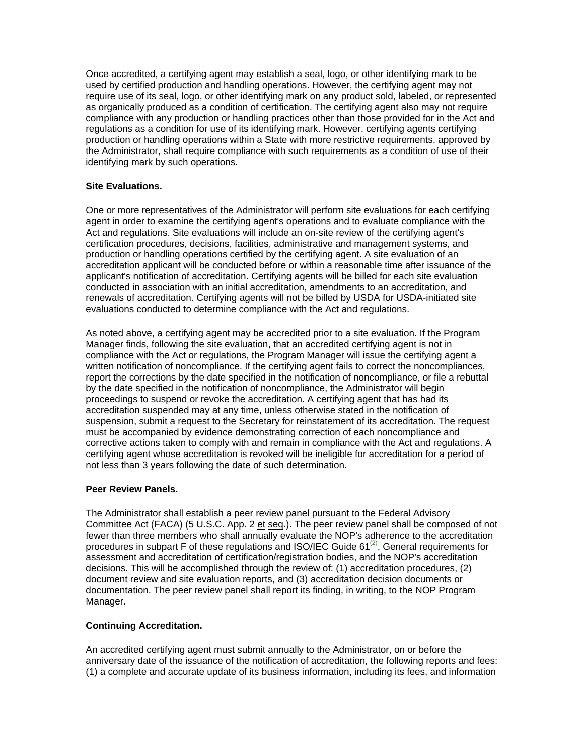Once accredited, a certifying agent may establish a seal, logo, or other identifying mark to be used by certified production and handling operations. However, the certifying agent may not require use of its seal, logo, or other identifying mark on any product sold, labeled, or represented as organically produced as a condition of certification. The certifying agent also may not require compliance with any production or handling practices other than those provided for in the Act and regulations as a condition for use of its identifying mark. However, certifying agents certifying production or handling operations within a State with more restrictive requirements, approved by the Administrator, shall require compliance with such requirements as a condition of use of their identifying mark by such operations.

## **Site Evaluations.**

One or more representatives of the Administrator will perform site evaluations for each certifying agent in order to examine the certifying agent's operations and to evaluate compliance with the Act and regulations. Site evaluations will include an on-site review of the certifying agent's certification procedures, decisions, facilities, administrative and management systems, and production or handling operations certified by the certifying agent. A site evaluation of an accreditation applicant will be conducted before or within a reasonable time after issuance of the applicant's notification of accreditation. Certifying agents will be billed for each site evaluation conducted in association with an initial accreditation, amendments to an accreditation, and renewals of accreditation. Certifying agents will not be billed by USDA for USDA-initiated site evaluations conducted to determine compliance with the Act and regulations.

As noted above, a certifying agent may be accredited prior to a site evaluation. If the Program Manager finds, following the site evaluation, that an accredited certifying agent is not in compliance with the Act or regulations, the Program Manager will issue the certifying agent a written notification of noncompliance. If the certifying agent fails to correct the noncompliances, report the corrections by the date specified in the notification of noncompliance, or file a rebuttal by the date specified in the notification of noncompliance, the Administrator will begin proceedings to suspend or revoke the accreditation. A certifying agent that has had its accreditation suspended may at any time, unless otherwise stated in the notification of suspension, submit a request to the Secretary for reinstatement of its accreditation. The request must be accompanied by evidence demonstrating correction of each noncompliance and corrective actions taken to comply with and remain in compliance with the Act and regulations. A certifying agent whose accreditation is revoked will be ineligible for accreditation for a period of not less than 3 years following the date of such determination.

#### **Peer Review Panels.**

The Administrator shall establish a peer review panel pursuant to the Federal Advisory Committee Act (FACA) (5 U.S.C. App. 2 et seq.). The peer review panel shall be composed of not fewer than three members who shall annually evaluate the NOP's adherence to the accreditation procedures in subpart F of these regulations and ISO/IEC Guide  $61^{(2)}$ , General requirements for assessment and accreditation of certification/registration bodies, and the NOP's accreditation decisions. This will be accomplished through the review of: (1) accreditation procedures, (2) document review and site evaluation reports, and (3) accreditation decision documents or documentation. The peer review panel shall report its finding, in writing, to the NOP Program Manager.

# **Continuing Accreditation.**

An accredited certifying agent must submit annually to the Administrator, on or before the anniversary date of the issuance of the notification of accreditation, the following reports and fees: (1) a complete and accurate update of its business information, including its fees, and information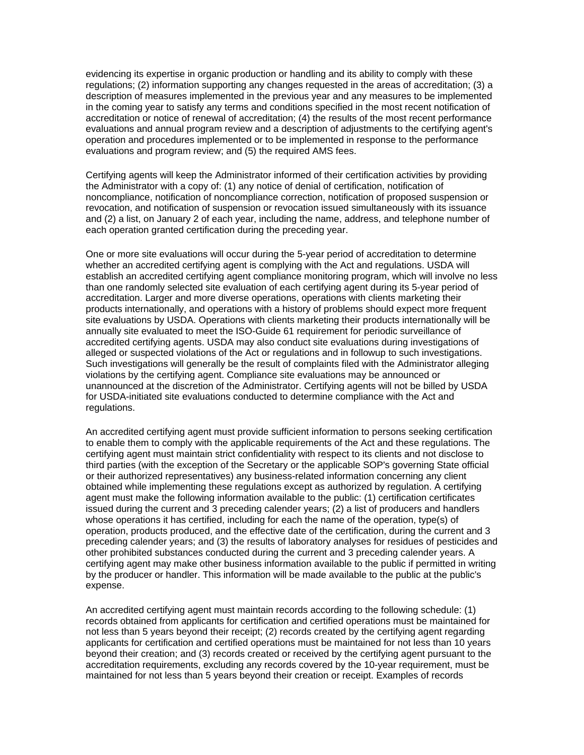evidencing its expertise in organic production or handling and its ability to comply with these regulations; (2) information supporting any changes requested in the areas of accreditation; (3) a description of measures implemented in the previous year and any measures to be implemented in the coming year to satisfy any terms and conditions specified in the most recent notification of accreditation or notice of renewal of accreditation; (4) the results of the most recent performance evaluations and annual program review and a description of adjustments to the certifying agent's operation and procedures implemented or to be implemented in response to the performance evaluations and program review; and (5) the required AMS fees.

Certifying agents will keep the Administrator informed of their certification activities by providing the Administrator with a copy of: (1) any notice of denial of certification, notification of noncompliance, notification of noncompliance correction, notification of proposed suspension or revocation, and notification of suspension or revocation issued simultaneously with its issuance and (2) a list, on January 2 of each year, including the name, address, and telephone number of each operation granted certification during the preceding year.

One or more site evaluations will occur during the 5-year period of accreditation to determine whether an accredited certifying agent is complying with the Act and regulations. USDA will establish an accredited certifying agent compliance monitoring program, which will involve no less than one randomly selected site evaluation of each certifying agent during its 5-year period of accreditation. Larger and more diverse operations, operations with clients marketing their products internationally, and operations with a history of problems should expect more frequent site evaluations by USDA. Operations with clients marketing their products internationally will be annually site evaluated to meet the ISO-Guide 61 requirement for periodic surveillance of accredited certifying agents. USDA may also conduct site evaluations during investigations of alleged or suspected violations of the Act or regulations and in followup to such investigations. Such investigations will generally be the result of complaints filed with the Administrator alleging violations by the certifying agent. Compliance site evaluations may be announced or unannounced at the discretion of the Administrator. Certifying agents will not be billed by USDA for USDA-initiated site evaluations conducted to determine compliance with the Act and regulations.

An accredited certifying agent must provide sufficient information to persons seeking certification to enable them to comply with the applicable requirements of the Act and these regulations. The certifying agent must maintain strict confidentiality with respect to its clients and not disclose to third parties (with the exception of the Secretary or the applicable SOP's governing State official or their authorized representatives) any business-related information concerning any client obtained while implementing these regulations except as authorized by regulation. A certifying agent must make the following information available to the public: (1) certification certificates issued during the current and 3 preceding calender years; (2) a list of producers and handlers whose operations it has certified, including for each the name of the operation, type(s) of operation, products produced, and the effective date of the certification, during the current and 3 preceding calender years; and (3) the results of laboratory analyses for residues of pesticides and other prohibited substances conducted during the current and 3 preceding calender years. A certifying agent may make other business information available to the public if permitted in writing by the producer or handler. This information will be made available to the public at the public's expense.

An accredited certifying agent must maintain records according to the following schedule: (1) records obtained from applicants for certification and certified operations must be maintained for not less than 5 years beyond their receipt; (2) records created by the certifying agent regarding applicants for certification and certified operations must be maintained for not less than 10 years beyond their creation; and (3) records created or received by the certifying agent pursuant to the accreditation requirements, excluding any records covered by the 10-year requirement, must be maintained for not less than 5 years beyond their creation or receipt. Examples of records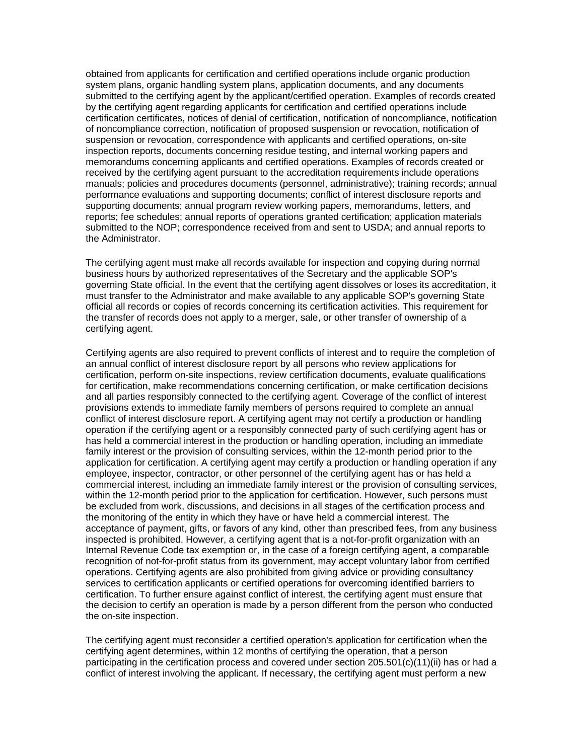obtained from applicants for certification and certified operations include organic production system plans, organic handling system plans, application documents, and any documents submitted to the certifying agent by the applicant/certified operation. Examples of records created by the certifying agent regarding applicants for certification and certified operations include certification certificates, notices of denial of certification, notification of noncompliance, notification of noncompliance correction, notification of proposed suspension or revocation, notification of suspension or revocation, correspondence with applicants and certified operations, on-site inspection reports, documents concerning residue testing, and internal working papers and memorandums concerning applicants and certified operations. Examples of records created or received by the certifying agent pursuant to the accreditation requirements include operations manuals; policies and procedures documents (personnel, administrative); training records; annual performance evaluations and supporting documents; conflict of interest disclosure reports and supporting documents; annual program review working papers, memorandums, letters, and reports; fee schedules; annual reports of operations granted certification; application materials submitted to the NOP; correspondence received from and sent to USDA; and annual reports to the Administrator.

The certifying agent must make all records available for inspection and copying during normal business hours by authorized representatives of the Secretary and the applicable SOP's governing State official. In the event that the certifying agent dissolves or loses its accreditation, it must transfer to the Administrator and make available to any applicable SOP's governing State official all records or copies of records concerning its certification activities. This requirement for the transfer of records does not apply to a merger, sale, or other transfer of ownership of a certifying agent.

Certifying agents are also required to prevent conflicts of interest and to require the completion of an annual conflict of interest disclosure report by all persons who review applications for certification, perform on-site inspections, review certification documents, evaluate qualifications for certification, make recommendations concerning certification, or make certification decisions and all parties responsibly connected to the certifying agent. Coverage of the conflict of interest provisions extends to immediate family members of persons required to complete an annual conflict of interest disclosure report. A certifying agent may not certify a production or handling operation if the certifying agent or a responsibly connected party of such certifying agent has or has held a commercial interest in the production or handling operation, including an immediate family interest or the provision of consulting services, within the 12-month period prior to the application for certification. A certifying agent may certify a production or handling operation if any employee, inspector, contractor, or other personnel of the certifying agent has or has held a commercial interest, including an immediate family interest or the provision of consulting services, within the 12-month period prior to the application for certification. However, such persons must be excluded from work, discussions, and decisions in all stages of the certification process and the monitoring of the entity in which they have or have held a commercial interest. The acceptance of payment, gifts, or favors of any kind, other than prescribed fees, from any business inspected is prohibited. However, a certifying agent that is a not-for-profit organization with an Internal Revenue Code tax exemption or, in the case of a foreign certifying agent, a comparable recognition of not-for-profit status from its government, may accept voluntary labor from certified operations. Certifying agents are also prohibited from giving advice or providing consultancy services to certification applicants or certified operations for overcoming identified barriers to certification. To further ensure against conflict of interest, the certifying agent must ensure that the decision to certify an operation is made by a person different from the person who conducted the on-site inspection.

The certifying agent must reconsider a certified operation's application for certification when the certifying agent determines, within 12 months of certifying the operation, that a person participating in the certification process and covered under section 205.501(c)(11)(ii) has or had a conflict of interest involving the applicant. If necessary, the certifying agent must perform a new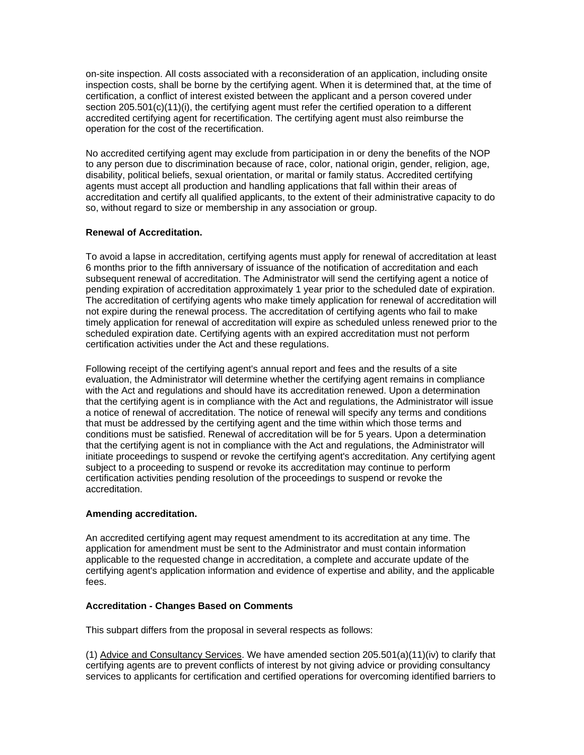on-site inspection. All costs associated with a reconsideration of an application, including onsite inspection costs, shall be borne by the certifying agent. When it is determined that, at the time of certification, a conflict of interest existed between the applicant and a person covered under section 205.501(c)(11)(i), the certifying agent must refer the certified operation to a different accredited certifying agent for recertification. The certifying agent must also reimburse the operation for the cost of the recertification.

No accredited certifying agent may exclude from participation in or deny the benefits of the NOP to any person due to discrimination because of race, color, national origin, gender, religion, age, disability, political beliefs, sexual orientation, or marital or family status. Accredited certifying agents must accept all production and handling applications that fall within their areas of accreditation and certify all qualified applicants, to the extent of their administrative capacity to do so, without regard to size or membership in any association or group.

## **Renewal of Accreditation.**

To avoid a lapse in accreditation, certifying agents must apply for renewal of accreditation at least 6 months prior to the fifth anniversary of issuance of the notification of accreditation and each subsequent renewal of accreditation. The Administrator will send the certifying agent a notice of pending expiration of accreditation approximately 1 year prior to the scheduled date of expiration. The accreditation of certifying agents who make timely application for renewal of accreditation will not expire during the renewal process. The accreditation of certifying agents who fail to make timely application for renewal of accreditation will expire as scheduled unless renewed prior to the scheduled expiration date. Certifying agents with an expired accreditation must not perform certification activities under the Act and these regulations.

Following receipt of the certifying agent's annual report and fees and the results of a site evaluation, the Administrator will determine whether the certifying agent remains in compliance with the Act and regulations and should have its accreditation renewed. Upon a determination that the certifying agent is in compliance with the Act and regulations, the Administrator will issue a notice of renewal of accreditation. The notice of renewal will specify any terms and conditions that must be addressed by the certifying agent and the time within which those terms and conditions must be satisfied. Renewal of accreditation will be for 5 years. Upon a determination that the certifying agent is not in compliance with the Act and regulations, the Administrator will initiate proceedings to suspend or revoke the certifying agent's accreditation. Any certifying agent subject to a proceeding to suspend or revoke its accreditation may continue to perform certification activities pending resolution of the proceedings to suspend or revoke the accreditation.

#### **Amending accreditation.**

An accredited certifying agent may request amendment to its accreditation at any time. The application for amendment must be sent to the Administrator and must contain information applicable to the requested change in accreditation, a complete and accurate update of the certifying agent's application information and evidence of expertise and ability, and the applicable fees.

#### **Accreditation - Changes Based on Comments**

This subpart differs from the proposal in several respects as follows:

(1) Advice and Consultancy Services. We have amended section 205.501(a)(11)(iv) to clarify that certifying agents are to prevent conflicts of interest by not giving advice or providing consultancy services to applicants for certification and certified operations for overcoming identified barriers to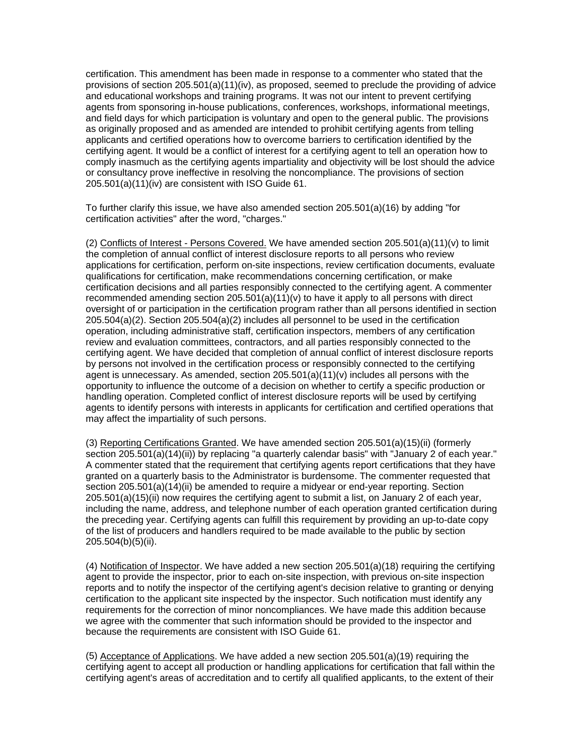certification. This amendment has been made in response to a commenter who stated that the provisions of section 205.501(a)(11)(iv), as proposed, seemed to preclude the providing of advice and educational workshops and training programs. It was not our intent to prevent certifying agents from sponsoring in-house publications, conferences, workshops, informational meetings, and field days for which participation is voluntary and open to the general public. The provisions as originally proposed and as amended are intended to prohibit certifying agents from telling applicants and certified operations how to overcome barriers to certification identified by the certifying agent. It would be a conflict of interest for a certifying agent to tell an operation how to comply inasmuch as the certifying agents impartiality and objectivity will be lost should the advice or consultancy prove ineffective in resolving the noncompliance. The provisions of section 205.501(a)(11)(iv) are consistent with ISO Guide 61.

To further clarify this issue, we have also amended section 205.501(a)(16) by adding "for certification activities" after the word, "charges."

(2) Conflicts of Interest - Persons Covered. We have amended section  $205.501(a)(11)(v)$  to limit the completion of annual conflict of interest disclosure reports to all persons who review applications for certification, perform on-site inspections, review certification documents, evaluate qualifications for certification, make recommendations concerning certification, or make certification decisions and all parties responsibly connected to the certifying agent. A commenter recommended amending section  $205.501(a)(11)(v)$  to have it apply to all persons with direct oversight of or participation in the certification program rather than all persons identified in section 205.504(a)(2). Section 205.504(a)(2) includes all personnel to be used in the certification operation, including administrative staff, certification inspectors, members of any certification review and evaluation committees, contractors, and all parties responsibly connected to the certifying agent. We have decided that completion of annual conflict of interest disclosure reports by persons not involved in the certification process or responsibly connected to the certifying agent is unnecessary. As amended, section 205.501(a)(11)(v) includes all persons with the opportunity to influence the outcome of a decision on whether to certify a specific production or handling operation. Completed conflict of interest disclosure reports will be used by certifying agents to identify persons with interests in applicants for certification and certified operations that may affect the impartiality of such persons.

(3) Reporting Certifications Granted. We have amended section 205.501(a)(15)(ii) (formerly section 205.501(a)(14)(ii)) by replacing "a quarterly calendar basis" with "January 2 of each year." A commenter stated that the requirement that certifying agents report certifications that they have granted on a quarterly basis to the Administrator is burdensome. The commenter requested that section 205.501(a)(14)(ii) be amended to require a midyear or end-year reporting. Section 205.501(a)(15)(ii) now requires the certifying agent to submit a list, on January 2 of each year, including the name, address, and telephone number of each operation granted certification during the preceding year. Certifying agents can fulfill this requirement by providing an up-to-date copy of the list of producers and handlers required to be made available to the public by section 205.504(b)(5)(ii).

(4) Notification of Inspector. We have added a new section 205.501(a)(18) requiring the certifying agent to provide the inspector, prior to each on-site inspection, with previous on-site inspection reports and to notify the inspector of the certifying agent's decision relative to granting or denying certification to the applicant site inspected by the inspector. Such notification must identify any requirements for the correction of minor noncompliances. We have made this addition because we agree with the commenter that such information should be provided to the inspector and because the requirements are consistent with ISO Guide 61.

(5) Acceptance of Applications. We have added a new section 205.501(a)(19) requiring the certifying agent to accept all production or handling applications for certification that fall within the certifying agent's areas of accreditation and to certify all qualified applicants, to the extent of their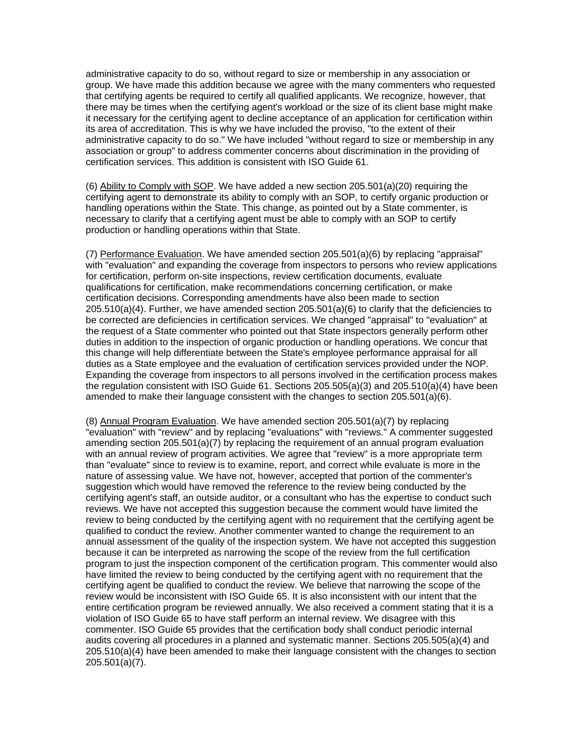administrative capacity to do so, without regard to size or membership in any association or group. We have made this addition because we agree with the many commenters who requested that certifying agents be required to certify all qualified applicants. We recognize, however, that there may be times when the certifying agent's workload or the size of its client base might make it necessary for the certifying agent to decline acceptance of an application for certification within its area of accreditation. This is why we have included the proviso, "to the extent of their administrative capacity to do so." We have included "without regard to size or membership in any association or group" to address commenter concerns about discrimination in the providing of certification services. This addition is consistent with ISO Guide 61.

(6) Ability to Comply with SOP. We have added a new section 205.501(a)(20) requiring the certifying agent to demonstrate its ability to comply with an SOP, to certify organic production or handling operations within the State. This change, as pointed out by a State commenter, is necessary to clarify that a certifying agent must be able to comply with an SOP to certify production or handling operations within that State.

(7) Performance Evaluation. We have amended section 205.501(a)(6) by replacing "appraisal" with "evaluation" and expanding the coverage from inspectors to persons who review applications for certification, perform on-site inspections, review certification documents, evaluate qualifications for certification, make recommendations concerning certification, or make certification decisions. Corresponding amendments have also been made to section 205.510(a)(4). Further, we have amended section 205.501(a)(6) to clarify that the deficiencies to be corrected are deficiencies in certification services. We changed "appraisal" to "evaluation" at the request of a State commenter who pointed out that State inspectors generally perform other duties in addition to the inspection of organic production or handling operations. We concur that this change will help differentiate between the State's employee performance appraisal for all duties as a State employee and the evaluation of certification services provided under the NOP. Expanding the coverage from inspectors to all persons involved in the certification process makes the regulation consistent with ISO Guide 61. Sections 205.505(a)(3) and 205.510(a)(4) have been amended to make their language consistent with the changes to section 205.501(a)(6).

(8) Annual Program Evaluation. We have amended section 205.501(a)(7) by replacing "evaluation" with "review" and by replacing "evaluations" with "reviews." A commenter suggested amending section 205.501(a)(7) by replacing the requirement of an annual program evaluation with an annual review of program activities. We agree that "review" is a more appropriate term than "evaluate" since to review is to examine, report, and correct while evaluate is more in the nature of assessing value. We have not, however, accepted that portion of the commenter's suggestion which would have removed the reference to the review being conducted by the certifying agent's staff, an outside auditor, or a consultant who has the expertise to conduct such reviews. We have not accepted this suggestion because the comment would have limited the review to being conducted by the certifying agent with no requirement that the certifying agent be qualified to conduct the review. Another commenter wanted to change the requirement to an annual assessment of the quality of the inspection system. We have not accepted this suggestion because it can be interpreted as narrowing the scope of the review from the full certification program to just the inspection component of the certification program. This commenter would also have limited the review to being conducted by the certifying agent with no requirement that the certifying agent be qualified to conduct the review. We believe that narrowing the scope of the review would be inconsistent with ISO Guide 65. It is also inconsistent with our intent that the entire certification program be reviewed annually. We also received a comment stating that it is a violation of ISO Guide 65 to have staff perform an internal review. We disagree with this commenter. ISO Guide 65 provides that the certification body shall conduct periodic internal audits covering all procedures in a planned and systematic manner. Sections 205.505(a)(4) and 205.510(a)(4) have been amended to make their language consistent with the changes to section 205.501(a)(7).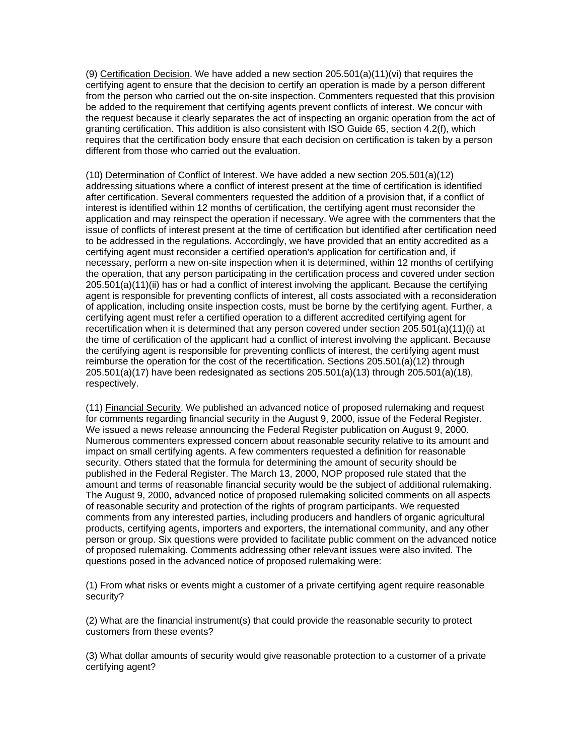(9) Certification Decision. We have added a new section  $205.501(a)(11)(vi)$  that requires the certifying agent to ensure that the decision to certify an operation is made by a person different from the person who carried out the on-site inspection. Commenters requested that this provision be added to the requirement that certifying agents prevent conflicts of interest. We concur with the request because it clearly separates the act of inspecting an organic operation from the act of granting certification. This addition is also consistent with ISO Guide 65, section 4.2(f), which requires that the certification body ensure that each decision on certification is taken by a person different from those who carried out the evaluation.

(10) Determination of Conflict of Interest. We have added a new section 205.501(a)(12) addressing situations where a conflict of interest present at the time of certification is identified after certification. Several commenters requested the addition of a provision that, if a conflict of interest is identified within 12 months of certification, the certifying agent must reconsider the application and may reinspect the operation if necessary. We agree with the commenters that the issue of conflicts of interest present at the time of certification but identified after certification need to be addressed in the regulations. Accordingly, we have provided that an entity accredited as a certifying agent must reconsider a certified operation's application for certification and, if necessary, perform a new on-site inspection when it is determined, within 12 months of certifying the operation, that any person participating in the certification process and covered under section 205.501(a)(11)(ii) has or had a conflict of interest involving the applicant. Because the certifying agent is responsible for preventing conflicts of interest, all costs associated with a reconsideration of application, including onsite inspection costs, must be borne by the certifying agent. Further, a certifying agent must refer a certified operation to a different accredited certifying agent for recertification when it is determined that any person covered under section 205.501(a)(11)(i) at the time of certification of the applicant had a conflict of interest involving the applicant. Because the certifying agent is responsible for preventing conflicts of interest, the certifying agent must reimburse the operation for the cost of the recertification. Sections 205.501(a)(12) through 205.501(a)(17) have been redesignated as sections 205.501(a)(13) through 205.501(a)(18), respectively.

(11) Financial Security. We published an advanced notice of proposed rulemaking and request for comments regarding financial security in the August 9, 2000, issue of the Federal Register. We issued a news release announcing the Federal Register publication on August 9, 2000. Numerous commenters expressed concern about reasonable security relative to its amount and impact on small certifying agents. A few commenters requested a definition for reasonable security. Others stated that the formula for determining the amount of security should be published in the Federal Register. The March 13, 2000, NOP proposed rule stated that the amount and terms of reasonable financial security would be the subject of additional rulemaking. The August 9, 2000, advanced notice of proposed rulemaking solicited comments on all aspects of reasonable security and protection of the rights of program participants. We requested comments from any interested parties, including producers and handlers of organic agricultural products, certifying agents, importers and exporters, the international community, and any other person or group. Six questions were provided to facilitate public comment on the advanced notice of proposed rulemaking. Comments addressing other relevant issues were also invited. The questions posed in the advanced notice of proposed rulemaking were:

(1) From what risks or events might a customer of a private certifying agent require reasonable security?

(2) What are the financial instrument(s) that could provide the reasonable security to protect customers from these events?

(3) What dollar amounts of security would give reasonable protection to a customer of a private certifying agent?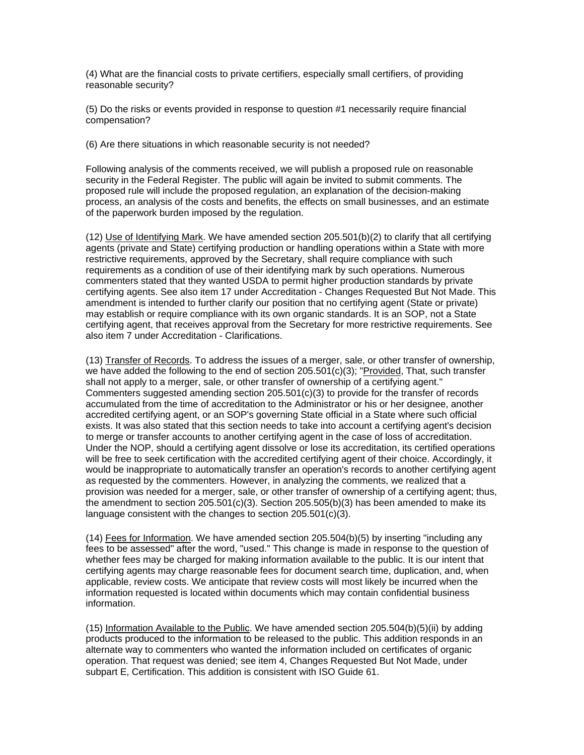(4) What are the financial costs to private certifiers, especially small certifiers, of providing reasonable security?

(5) Do the risks or events provided in response to question #1 necessarily require financial compensation?

(6) Are there situations in which reasonable security is not needed?

Following analysis of the comments received, we will publish a proposed rule on reasonable security in the Federal Register. The public will again be invited to submit comments. The proposed rule will include the proposed regulation, an explanation of the decision-making process, an analysis of the costs and benefits, the effects on small businesses, and an estimate of the paperwork burden imposed by the regulation.

(12) Use of Identifying Mark. We have amended section 205.501(b)(2) to clarify that all certifying agents (private and State) certifying production or handling operations within a State with more restrictive requirements, approved by the Secretary, shall require compliance with such requirements as a condition of use of their identifying mark by such operations. Numerous commenters stated that they wanted USDA to permit higher production standards by private certifying agents. See also item 17 under Accreditation - Changes Requested But Not Made. This amendment is intended to further clarify our position that no certifying agent (State or private) may establish or require compliance with its own organic standards. It is an SOP, not a State certifying agent, that receives approval from the Secretary for more restrictive requirements. See also item 7 under Accreditation - Clarifications.

(13) Transfer of Records. To address the issues of a merger, sale, or other transfer of ownership, we have added the following to the end of section  $205.501(c)(3)$ ; "Provided, That, such transfer shall not apply to a merger, sale, or other transfer of ownership of a certifying agent." Commenters suggested amending section 205.501(c)(3) to provide for the transfer of records accumulated from the time of accreditation to the Administrator or his or her designee, another accredited certifying agent, or an SOP's governing State official in a State where such official exists. It was also stated that this section needs to take into account a certifying agent's decision to merge or transfer accounts to another certifying agent in the case of loss of accreditation. Under the NOP, should a certifying agent dissolve or lose its accreditation, its certified operations will be free to seek certification with the accredited certifying agent of their choice. Accordingly, it would be inappropriate to automatically transfer an operation's records to another certifying agent as requested by the commenters. However, in analyzing the comments, we realized that a provision was needed for a merger, sale, or other transfer of ownership of a certifying agent; thus, the amendment to section  $205.501(c)(3)$ . Section  $205.505(b)(3)$  has been amended to make its language consistent with the changes to section 205.501(c)(3).

(14) Fees for Information. We have amended section 205.504(b)(5) by inserting "including any fees to be assessed" after the word, "used." This change is made in response to the question of whether fees may be charged for making information available to the public. It is our intent that certifying agents may charge reasonable fees for document search time, duplication, and, when applicable, review costs. We anticipate that review costs will most likely be incurred when the information requested is located within documents which may contain confidential business information.

(15) Information Available to the Public. We have amended section 205.504(b)(5)(ii) by adding products produced to the information to be released to the public. This addition responds in an alternate way to commenters who wanted the information included on certificates of organic operation. That request was denied; see item 4, Changes Requested But Not Made, under subpart E, Certification. This addition is consistent with ISO Guide 61.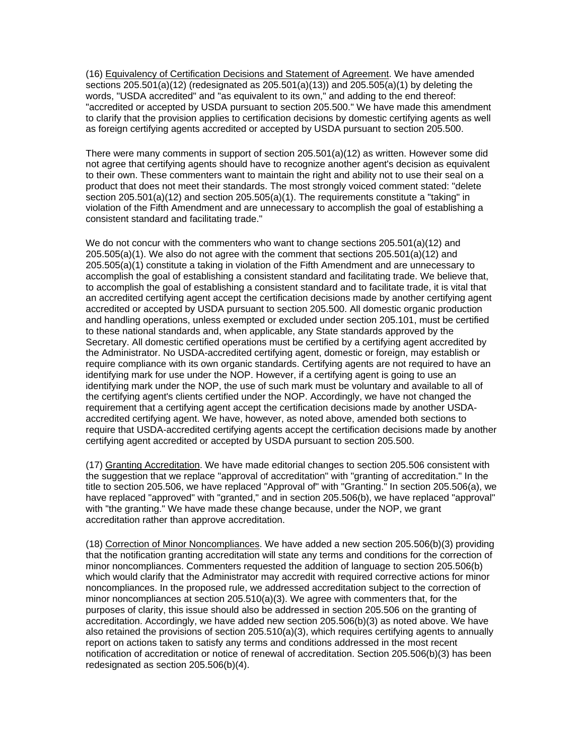(16) Equivalency of Certification Decisions and Statement of Agreement. We have amended sections 205.501(a)(12) (redesignated as 205.501(a)(13)) and 205.505(a)(1) by deleting the words, "USDA accredited" and "as equivalent to its own," and adding to the end thereof: "accredited or accepted by USDA pursuant to section 205.500." We have made this amendment to clarify that the provision applies to certification decisions by domestic certifying agents as well as foreign certifying agents accredited or accepted by USDA pursuant to section 205.500.

There were many comments in support of section 205.501(a)(12) as written. However some did not agree that certifying agents should have to recognize another agent's decision as equivalent to their own. These commenters want to maintain the right and ability not to use their seal on a product that does not meet their standards. The most strongly voiced comment stated: "delete section 205.501(a)(12) and section 205.505(a)(1). The requirements constitute a "taking" in violation of the Fifth Amendment and are unnecessary to accomplish the goal of establishing a consistent standard and facilitating trade."

We do not concur with the commenters who want to change sections 205.501(a)(12) and 205.505(a)(1). We also do not agree with the comment that sections 205.501(a)(12) and 205.505(a)(1) constitute a taking in violation of the Fifth Amendment and are unnecessary to accomplish the goal of establishing a consistent standard and facilitating trade. We believe that, to accomplish the goal of establishing a consistent standard and to facilitate trade, it is vital that an accredited certifying agent accept the certification decisions made by another certifying agent accredited or accepted by USDA pursuant to section 205.500. All domestic organic production and handling operations, unless exempted or excluded under section 205.101, must be certified to these national standards and, when applicable, any State standards approved by the Secretary. All domestic certified operations must be certified by a certifying agent accredited by the Administrator. No USDA-accredited certifying agent, domestic or foreign, may establish or require compliance with its own organic standards. Certifying agents are not required to have an identifying mark for use under the NOP. However, if a certifying agent is going to use an identifying mark under the NOP, the use of such mark must be voluntary and available to all of the certifying agent's clients certified under the NOP. Accordingly, we have not changed the requirement that a certifying agent accept the certification decisions made by another USDAaccredited certifying agent. We have, however, as noted above, amended both sections to require that USDA-accredited certifying agents accept the certification decisions made by another certifying agent accredited or accepted by USDA pursuant to section 205.500.

(17) Granting Accreditation. We have made editorial changes to section 205.506 consistent with the suggestion that we replace "approval of accreditation" with "granting of accreditation." In the title to section 205.506, we have replaced "Approval of" with "Granting." In section 205.506(a), we have replaced "approved" with "granted," and in section 205.506(b), we have replaced "approval" with "the granting." We have made these change because, under the NOP, we grant accreditation rather than approve accreditation.

(18) Correction of Minor Noncompliances. We have added a new section 205.506(b)(3) providing that the notification granting accreditation will state any terms and conditions for the correction of minor noncompliances. Commenters requested the addition of language to section 205.506(b) which would clarify that the Administrator may accredit with required corrective actions for minor noncompliances. In the proposed rule, we addressed accreditation subject to the correction of minor noncompliances at section 205.510(a)(3). We agree with commenters that, for the purposes of clarity, this issue should also be addressed in section 205.506 on the granting of accreditation. Accordingly, we have added new section 205.506(b)(3) as noted above. We have also retained the provisions of section 205.510(a)(3), which requires certifying agents to annually report on actions taken to satisfy any terms and conditions addressed in the most recent notification of accreditation or notice of renewal of accreditation. Section 205.506(b)(3) has been redesignated as section 205.506(b)(4).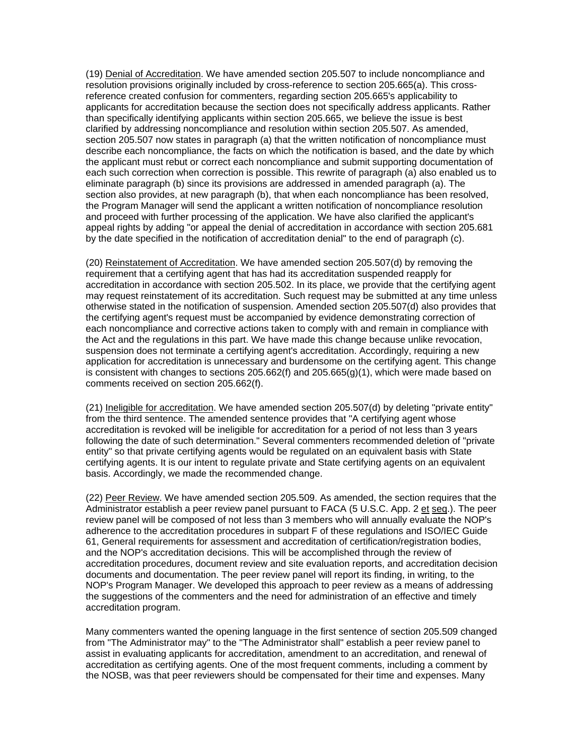(19) Denial of Accreditation. We have amended section 205.507 to include noncompliance and resolution provisions originally included by cross-reference to section 205.665(a). This crossreference created confusion for commenters, regarding section 205.665's applicability to applicants for accreditation because the section does not specifically address applicants. Rather than specifically identifying applicants within section 205.665, we believe the issue is best clarified by addressing noncompliance and resolution within section 205.507. As amended, section 205.507 now states in paragraph (a) that the written notification of noncompliance must describe each noncompliance, the facts on which the notification is based, and the date by which the applicant must rebut or correct each noncompliance and submit supporting documentation of each such correction when correction is possible. This rewrite of paragraph (a) also enabled us to eliminate paragraph (b) since its provisions are addressed in amended paragraph (a). The section also provides, at new paragraph (b), that when each noncompliance has been resolved, the Program Manager will send the applicant a written notification of noncompliance resolution and proceed with further processing of the application. We have also clarified the applicant's appeal rights by adding "or appeal the denial of accreditation in accordance with section 205.681 by the date specified in the notification of accreditation denial" to the end of paragraph (c).

(20) Reinstatement of Accreditation. We have amended section 205.507(d) by removing the requirement that a certifying agent that has had its accreditation suspended reapply for accreditation in accordance with section 205.502. In its place, we provide that the certifying agent may request reinstatement of its accreditation. Such request may be submitted at any time unless otherwise stated in the notification of suspension. Amended section 205.507(d) also provides that the certifying agent's request must be accompanied by evidence demonstrating correction of each noncompliance and corrective actions taken to comply with and remain in compliance with the Act and the regulations in this part. We have made this change because unlike revocation, suspension does not terminate a certifying agent's accreditation. Accordingly, requiring a new application for accreditation is unnecessary and burdensome on the certifying agent. This change is consistent with changes to sections  $205.662(f)$  and  $205.665(g)(1)$ , which were made based on comments received on section 205.662(f).

(21) Ineligible for accreditation. We have amended section 205.507(d) by deleting "private entity" from the third sentence. The amended sentence provides that "A certifying agent whose accreditation is revoked will be ineligible for accreditation for a period of not less than 3 years following the date of such determination." Several commenters recommended deletion of "private entity" so that private certifying agents would be regulated on an equivalent basis with State certifying agents. It is our intent to regulate private and State certifying agents on an equivalent basis. Accordingly, we made the recommended change.

(22) Peer Review. We have amended section 205.509. As amended, the section requires that the Administrator establish a peer review panel pursuant to FACA (5 U.S.C. App. 2 et seq.). The peer review panel will be composed of not less than 3 members who will annually evaluate the NOP's adherence to the accreditation procedures in subpart F of these regulations and ISO/IEC Guide 61, General requirements for assessment and accreditation of certification/registration bodies, and the NOP's accreditation decisions. This will be accomplished through the review of accreditation procedures, document review and site evaluation reports, and accreditation decision documents and documentation. The peer review panel will report its finding, in writing, to the NOP's Program Manager. We developed this approach to peer review as a means of addressing the suggestions of the commenters and the need for administration of an effective and timely accreditation program.

Many commenters wanted the opening language in the first sentence of section 205.509 changed from "The Administrator may" to the "The Administrator shall" establish a peer review panel to assist in evaluating applicants for accreditation, amendment to an accreditation, and renewal of accreditation as certifying agents. One of the most frequent comments, including a comment by the NOSB, was that peer reviewers should be compensated for their time and expenses. Many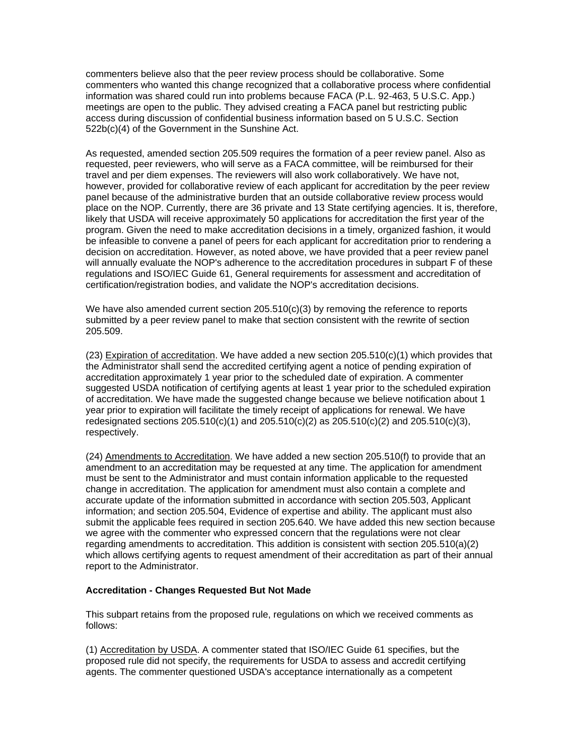commenters believe also that the peer review process should be collaborative. Some commenters who wanted this change recognized that a collaborative process where confidential information was shared could run into problems because FACA (P.L. 92-463, 5 U.S.C. App.) meetings are open to the public. They advised creating a FACA panel but restricting public access during discussion of confidential business information based on 5 U.S.C. Section 522b(c)(4) of the Government in the Sunshine Act.

As requested, amended section 205.509 requires the formation of a peer review panel. Also as requested, peer reviewers, who will serve as a FACA committee, will be reimbursed for their travel and per diem expenses. The reviewers will also work collaboratively. We have not, however, provided for collaborative review of each applicant for accreditation by the peer review panel because of the administrative burden that an outside collaborative review process would place on the NOP. Currently, there are 36 private and 13 State certifying agencies. It is, therefore, likely that USDA will receive approximately 50 applications for accreditation the first year of the program. Given the need to make accreditation decisions in a timely, organized fashion, it would be infeasible to convene a panel of peers for each applicant for accreditation prior to rendering a decision on accreditation. However, as noted above, we have provided that a peer review panel will annually evaluate the NOP's adherence to the accreditation procedures in subpart F of these regulations and ISO/IEC Guide 61, General requirements for assessment and accreditation of certification/registration bodies, and validate the NOP's accreditation decisions.

We have also amended current section  $205.510(c)(3)$  by removing the reference to reports submitted by a peer review panel to make that section consistent with the rewrite of section 205.509.

(23) Expiration of accreditation. We have added a new section 205.510(c)(1) which provides that the Administrator shall send the accredited certifying agent a notice of pending expiration of accreditation approximately 1 year prior to the scheduled date of expiration. A commenter suggested USDA notification of certifying agents at least 1 year prior to the scheduled expiration of accreditation. We have made the suggested change because we believe notification about 1 year prior to expiration will facilitate the timely receipt of applications for renewal. We have redesignated sections  $205.510(c)(1)$  and  $205.510(c)(2)$  as  $205.510(c)(2)$  and  $205.510(c)(3)$ , respectively.

(24) Amendments to Accreditation. We have added a new section 205.510(f) to provide that an amendment to an accreditation may be requested at any time. The application for amendment must be sent to the Administrator and must contain information applicable to the requested change in accreditation. The application for amendment must also contain a complete and accurate update of the information submitted in accordance with section 205.503, Applicant information; and section 205.504, Evidence of expertise and ability. The applicant must also submit the applicable fees required in section 205.640. We have added this new section because we agree with the commenter who expressed concern that the regulations were not clear regarding amendments to accreditation. This addition is consistent with section 205.510(a)(2) which allows certifying agents to request amendment of their accreditation as part of their annual report to the Administrator.

#### **Accreditation - Changes Requested But Not Made**

This subpart retains from the proposed rule, regulations on which we received comments as follows:

(1) Accreditation by USDA. A commenter stated that ISO/IEC Guide 61 specifies, but the proposed rule did not specify, the requirements for USDA to assess and accredit certifying agents. The commenter questioned USDA's acceptance internationally as a competent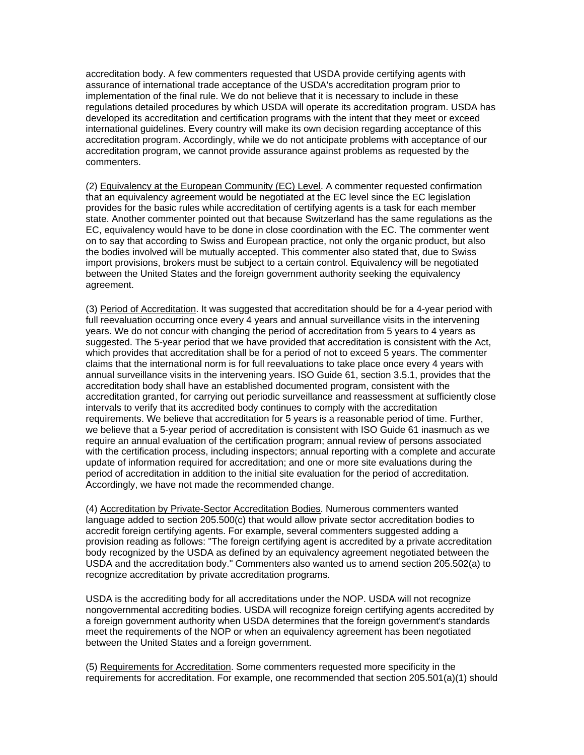accreditation body. A few commenters requested that USDA provide certifying agents with assurance of international trade acceptance of the USDA's accreditation program prior to implementation of the final rule. We do not believe that it is necessary to include in these regulations detailed procedures by which USDA will operate its accreditation program. USDA has developed its accreditation and certification programs with the intent that they meet or exceed international guidelines. Every country will make its own decision regarding acceptance of this accreditation program. Accordingly, while we do not anticipate problems with acceptance of our accreditation program, we cannot provide assurance against problems as requested by the commenters.

(2) Equivalency at the European Community (EC) Level. A commenter requested confirmation that an equivalency agreement would be negotiated at the EC level since the EC legislation provides for the basic rules while accreditation of certifying agents is a task for each member state. Another commenter pointed out that because Switzerland has the same regulations as the EC, equivalency would have to be done in close coordination with the EC. The commenter went on to say that according to Swiss and European practice, not only the organic product, but also the bodies involved will be mutually accepted. This commenter also stated that, due to Swiss import provisions, brokers must be subject to a certain control. Equivalency will be negotiated between the United States and the foreign government authority seeking the equivalency agreement.

(3) Period of Accreditation. It was suggested that accreditation should be for a 4-year period with full reevaluation occurring once every 4 years and annual surveillance visits in the intervening years. We do not concur with changing the period of accreditation from 5 years to 4 years as suggested. The 5-year period that we have provided that accreditation is consistent with the Act, which provides that accreditation shall be for a period of not to exceed 5 years. The commenter claims that the international norm is for full reevaluations to take place once every 4 years with annual surveillance visits in the intervening years. ISO Guide 61, section 3.5.1, provides that the accreditation body shall have an established documented program, consistent with the accreditation granted, for carrying out periodic surveillance and reassessment at sufficiently close intervals to verify that its accredited body continues to comply with the accreditation requirements. We believe that accreditation for 5 years is a reasonable period of time. Further, we believe that a 5-year period of accreditation is consistent with ISO Guide 61 inasmuch as we require an annual evaluation of the certification program; annual review of persons associated with the certification process, including inspectors; annual reporting with a complete and accurate update of information required for accreditation; and one or more site evaluations during the period of accreditation in addition to the initial site evaluation for the period of accreditation. Accordingly, we have not made the recommended change.

(4) Accreditation by Private-Sector Accreditation Bodies. Numerous commenters wanted language added to section 205.500(c) that would allow private sector accreditation bodies to accredit foreign certifying agents. For example, several commenters suggested adding a provision reading as follows: "The foreign certifying agent is accredited by a private accreditation body recognized by the USDA as defined by an equivalency agreement negotiated between the USDA and the accreditation body." Commenters also wanted us to amend section 205.502(a) to recognize accreditation by private accreditation programs.

USDA is the accrediting body for all accreditations under the NOP. USDA will not recognize nongovernmental accrediting bodies. USDA will recognize foreign certifying agents accredited by a foreign government authority when USDA determines that the foreign government's standards meet the requirements of the NOP or when an equivalency agreement has been negotiated between the United States and a foreign government.

(5) Requirements for Accreditation. Some commenters requested more specificity in the requirements for accreditation. For example, one recommended that section 205.501(a)(1) should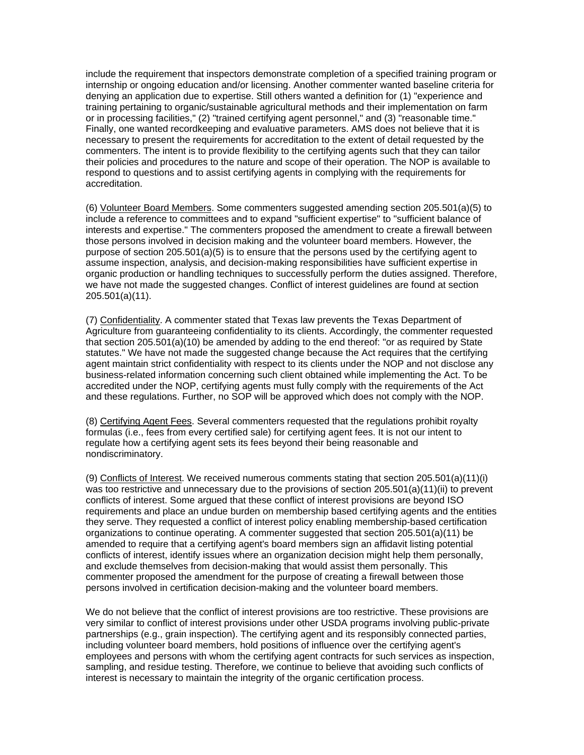include the requirement that inspectors demonstrate completion of a specified training program or internship or ongoing education and/or licensing. Another commenter wanted baseline criteria for denying an application due to expertise. Still others wanted a definition for (1) "experience and training pertaining to organic/sustainable agricultural methods and their implementation on farm or in processing facilities," (2) "trained certifying agent personnel," and (3) "reasonable time." Finally, one wanted recordkeeping and evaluative parameters. AMS does not believe that it is necessary to present the requirements for accreditation to the extent of detail requested by the commenters. The intent is to provide flexibility to the certifying agents such that they can tailor their policies and procedures to the nature and scope of their operation. The NOP is available to respond to questions and to assist certifying agents in complying with the requirements for accreditation.

(6) Volunteer Board Members. Some commenters suggested amending section 205.501(a)(5) to include a reference to committees and to expand "sufficient expertise" to "sufficient balance of interests and expertise." The commenters proposed the amendment to create a firewall between those persons involved in decision making and the volunteer board members. However, the purpose of section 205.501(a)(5) is to ensure that the persons used by the certifying agent to assume inspection, analysis, and decision-making responsibilities have sufficient expertise in organic production or handling techniques to successfully perform the duties assigned. Therefore, we have not made the suggested changes. Conflict of interest guidelines are found at section 205.501(a)(11).

(7) Confidentiality. A commenter stated that Texas law prevents the Texas Department of Agriculture from guaranteeing confidentiality to its clients. Accordingly, the commenter requested that section 205.501(a)(10) be amended by adding to the end thereof: "or as required by State statutes." We have not made the suggested change because the Act requires that the certifying agent maintain strict confidentiality with respect to its clients under the NOP and not disclose any business-related information concerning such client obtained while implementing the Act. To be accredited under the NOP, certifying agents must fully comply with the requirements of the Act and these regulations. Further, no SOP will be approved which does not comply with the NOP.

(8) Certifying Agent Fees. Several commenters requested that the regulations prohibit royalty formulas (i.e., fees from every certified sale) for certifying agent fees. It is not our intent to regulate how a certifying agent sets its fees beyond their being reasonable and nondiscriminatory.

(9) Conflicts of Interest. We received numerous comments stating that section 205.501(a)(11)(i) was too restrictive and unnecessary due to the provisions of section 205.501(a)(11)(ii) to prevent conflicts of interest. Some argued that these conflict of interest provisions are beyond ISO requirements and place an undue burden on membership based certifying agents and the entities they serve. They requested a conflict of interest policy enabling membership-based certification organizations to continue operating. A commenter suggested that section 205.501(a)(11) be amended to require that a certifying agent's board members sign an affidavit listing potential conflicts of interest, identify issues where an organization decision might help them personally, and exclude themselves from decision-making that would assist them personally. This commenter proposed the amendment for the purpose of creating a firewall between those persons involved in certification decision-making and the volunteer board members.

We do not believe that the conflict of interest provisions are too restrictive. These provisions are very similar to conflict of interest provisions under other USDA programs involving public-private partnerships (e.g., grain inspection). The certifying agent and its responsibly connected parties, including volunteer board members, hold positions of influence over the certifying agent's employees and persons with whom the certifying agent contracts for such services as inspection, sampling, and residue testing. Therefore, we continue to believe that avoiding such conflicts of interest is necessary to maintain the integrity of the organic certification process.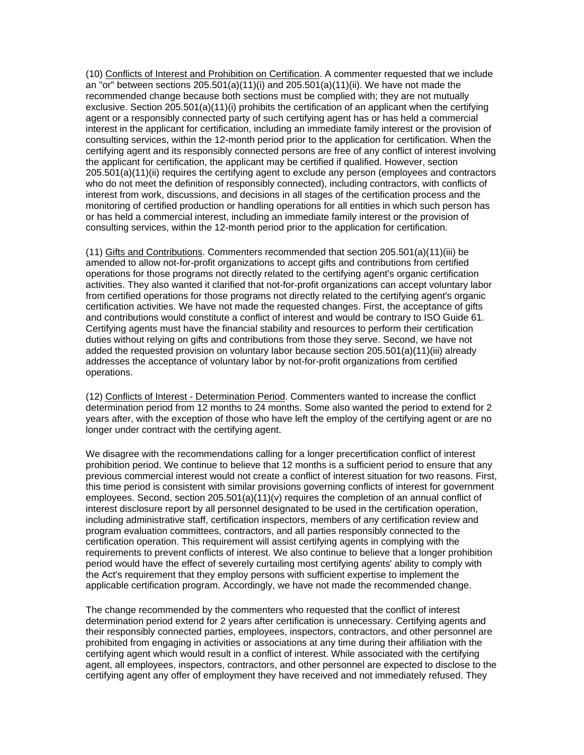(10) Conflicts of Interest and Prohibition on Certification. A commenter requested that we include an "or" between sections  $205.501(a)(11)(i)$  and  $205.501(a)(11)(ii)$ . We have not made the recommended change because both sections must be complied with; they are not mutually exclusive. Section 205.501(a)(11)(i) prohibits the certification of an applicant when the certifying agent or a responsibly connected party of such certifying agent has or has held a commercial interest in the applicant for certification, including an immediate family interest or the provision of consulting services, within the 12-month period prior to the application for certification. When the certifying agent and its responsibly connected persons are free of any conflict of interest involving the applicant for certification, the applicant may be certified if qualified. However, section 205.501(a)(11)(ii) requires the certifying agent to exclude any person (employees and contractors who do not meet the definition of responsibly connected), including contractors, with conflicts of interest from work, discussions, and decisions in all stages of the certification process and the monitoring of certified production or handling operations for all entities in which such person has or has held a commercial interest, including an immediate family interest or the provision of consulting services, within the 12-month period prior to the application for certification.

(11) Gifts and Contributions. Commenters recommended that section 205.501(a)(11)(iii) be amended to allow not-for-profit organizations to accept gifts and contributions from certified operations for those programs not directly related to the certifying agent's organic certification activities. They also wanted it clarified that not-for-profit organizations can accept voluntary labor from certified operations for those programs not directly related to the certifying agent's organic certification activities. We have not made the requested changes. First, the acceptance of gifts and contributions would constitute a conflict of interest and would be contrary to ISO Guide 61. Certifying agents must have the financial stability and resources to perform their certification duties without relying on gifts and contributions from those they serve. Second, we have not added the requested provision on voluntary labor because section 205.501(a)(11)(iii) already addresses the acceptance of voluntary labor by not-for-profit organizations from certified operations.

(12) Conflicts of Interest - Determination Period. Commenters wanted to increase the conflict determination period from 12 months to 24 months. Some also wanted the period to extend for 2 years after, with the exception of those who have left the employ of the certifying agent or are no longer under contract with the certifying agent.

We disagree with the recommendations calling for a longer precertification conflict of interest prohibition period. We continue to believe that 12 months is a sufficient period to ensure that any previous commercial interest would not create a conflict of interest situation for two reasons. First, this time period is consistent with similar provisions governing conflicts of interest for government employees. Second, section 205.501(a)(11)(v) requires the completion of an annual conflict of interest disclosure report by all personnel designated to be used in the certification operation, including administrative staff, certification inspectors, members of any certification review and program evaluation committees, contractors, and all parties responsibly connected to the certification operation. This requirement will assist certifying agents in complying with the requirements to prevent conflicts of interest. We also continue to believe that a longer prohibition period would have the effect of severely curtailing most certifying agents' ability to comply with the Act's requirement that they employ persons with sufficient expertise to implement the applicable certification program. Accordingly, we have not made the recommended change.

The change recommended by the commenters who requested that the conflict of interest determination period extend for 2 years after certification is unnecessary. Certifying agents and their responsibly connected parties, employees, inspectors, contractors, and other personnel are prohibited from engaging in activities or associations at any time during their affiliation with the certifying agent which would result in a conflict of interest. While associated with the certifying agent, all employees, inspectors, contractors, and other personnel are expected to disclose to the certifying agent any offer of employment they have received and not immediately refused. They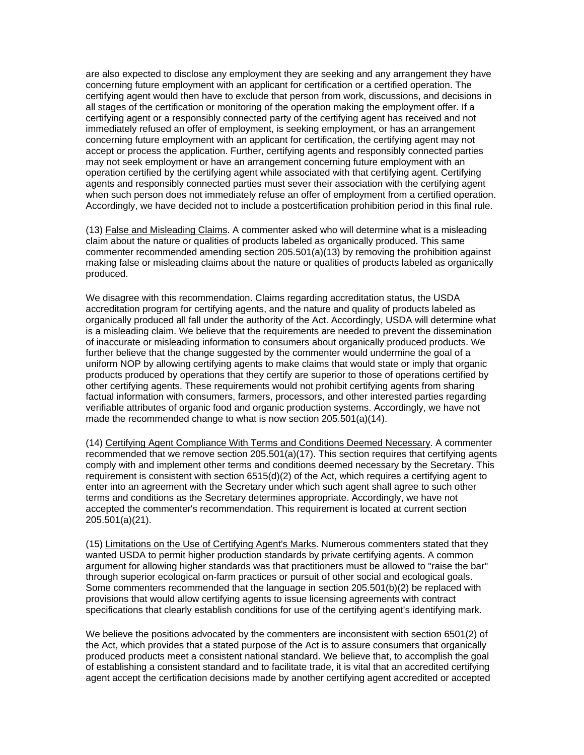are also expected to disclose any employment they are seeking and any arrangement they have concerning future employment with an applicant for certification or a certified operation. The certifying agent would then have to exclude that person from work, discussions, and decisions in all stages of the certification or monitoring of the operation making the employment offer. If a certifying agent or a responsibly connected party of the certifying agent has received and not immediately refused an offer of employment, is seeking employment, or has an arrangement concerning future employment with an applicant for certification, the certifying agent may not accept or process the application. Further, certifying agents and responsibly connected parties may not seek employment or have an arrangement concerning future employment with an operation certified by the certifying agent while associated with that certifying agent. Certifying agents and responsibly connected parties must sever their association with the certifying agent when such person does not immediately refuse an offer of employment from a certified operation. Accordingly, we have decided not to include a postcertification prohibition period in this final rule.

(13) False and Misleading Claims. A commenter asked who will determine what is a misleading claim about the nature or qualities of products labeled as organically produced. This same commenter recommended amending section 205.501(a)(13) by removing the prohibition against making false or misleading claims about the nature or qualities of products labeled as organically produced.

We disagree with this recommendation. Claims regarding accreditation status, the USDA accreditation program for certifying agents, and the nature and quality of products labeled as organically produced all fall under the authority of the Act. Accordingly, USDA will determine what is a misleading claim. We believe that the requirements are needed to prevent the dissemination of inaccurate or misleading information to consumers about organically produced products. We further believe that the change suggested by the commenter would undermine the goal of a uniform NOP by allowing certifying agents to make claims that would state or imply that organic products produced by operations that they certify are superior to those of operations certified by other certifying agents. These requirements would not prohibit certifying agents from sharing factual information with consumers, farmers, processors, and other interested parties regarding verifiable attributes of organic food and organic production systems. Accordingly, we have not made the recommended change to what is now section 205.501(a)(14).

(14) Certifying Agent Compliance With Terms and Conditions Deemed Necessary. A commenter recommended that we remove section 205.501(a)(17). This section requires that certifying agents comply with and implement other terms and conditions deemed necessary by the Secretary. This requirement is consistent with section 6515(d)(2) of the Act, which requires a certifying agent to enter into an agreement with the Secretary under which such agent shall agree to such other terms and conditions as the Secretary determines appropriate. Accordingly, we have not accepted the commenter's recommendation. This requirement is located at current section 205.501(a)(21).

(15) Limitations on the Use of Certifying Agent's Marks. Numerous commenters stated that they wanted USDA to permit higher production standards by private certifying agents. A common argument for allowing higher standards was that practitioners must be allowed to "raise the bar" through superior ecological on-farm practices or pursuit of other social and ecological goals. Some commenters recommended that the language in section 205.501(b)(2) be replaced with provisions that would allow certifying agents to issue licensing agreements with contract specifications that clearly establish conditions for use of the certifying agent's identifying mark.

We believe the positions advocated by the commenters are inconsistent with section 6501(2) of the Act, which provides that a stated purpose of the Act is to assure consumers that organically produced products meet a consistent national standard. We believe that, to accomplish the goal of establishing a consistent standard and to facilitate trade, it is vital that an accredited certifying agent accept the certification decisions made by another certifying agent accredited or accepted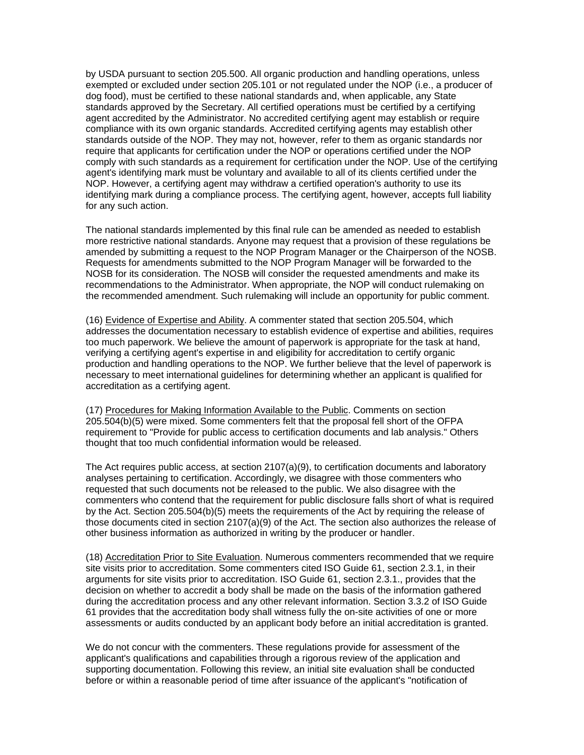by USDA pursuant to section 205.500. All organic production and handling operations, unless exempted or excluded under section 205.101 or not regulated under the NOP (i.e., a producer of dog food), must be certified to these national standards and, when applicable, any State standards approved by the Secretary. All certified operations must be certified by a certifying agent accredited by the Administrator. No accredited certifying agent may establish or require compliance with its own organic standards. Accredited certifying agents may establish other standards outside of the NOP. They may not, however, refer to them as organic standards nor require that applicants for certification under the NOP or operations certified under the NOP comply with such standards as a requirement for certification under the NOP. Use of the certifying agent's identifying mark must be voluntary and available to all of its clients certified under the NOP. However, a certifying agent may withdraw a certified operation's authority to use its identifying mark during a compliance process. The certifying agent, however, accepts full liability for any such action.

The national standards implemented by this final rule can be amended as needed to establish more restrictive national standards. Anyone may request that a provision of these regulations be amended by submitting a request to the NOP Program Manager or the Chairperson of the NOSB. Requests for amendments submitted to the NOP Program Manager will be forwarded to the NOSB for its consideration. The NOSB will consider the requested amendments and make its recommendations to the Administrator. When appropriate, the NOP will conduct rulemaking on the recommended amendment. Such rulemaking will include an opportunity for public comment.

(16) Evidence of Expertise and Ability. A commenter stated that section 205.504, which addresses the documentation necessary to establish evidence of expertise and abilities, requires too much paperwork. We believe the amount of paperwork is appropriate for the task at hand, verifying a certifying agent's expertise in and eligibility for accreditation to certify organic production and handling operations to the NOP. We further believe that the level of paperwork is necessary to meet international guidelines for determining whether an applicant is qualified for accreditation as a certifying agent.

(17) Procedures for Making Information Available to the Public. Comments on section 205.504(b)(5) were mixed. Some commenters felt that the proposal fell short of the OFPA requirement to "Provide for public access to certification documents and lab analysis." Others thought that too much confidential information would be released.

The Act requires public access, at section 2107(a)(9), to certification documents and laboratory analyses pertaining to certification. Accordingly, we disagree with those commenters who requested that such documents not be released to the public. We also disagree with the commenters who contend that the requirement for public disclosure falls short of what is required by the Act. Section 205.504(b)(5) meets the requirements of the Act by requiring the release of those documents cited in section 2107(a)(9) of the Act. The section also authorizes the release of other business information as authorized in writing by the producer or handler.

(18) Accreditation Prior to Site Evaluation. Numerous commenters recommended that we require site visits prior to accreditation. Some commenters cited ISO Guide 61, section 2.3.1, in their arguments for site visits prior to accreditation. ISO Guide 61, section 2.3.1., provides that the decision on whether to accredit a body shall be made on the basis of the information gathered during the accreditation process and any other relevant information. Section 3.3.2 of ISO Guide 61 provides that the accreditation body shall witness fully the on-site activities of one or more assessments or audits conducted by an applicant body before an initial accreditation is granted.

We do not concur with the commenters. These regulations provide for assessment of the applicant's qualifications and capabilities through a rigorous review of the application and supporting documentation. Following this review, an initial site evaluation shall be conducted before or within a reasonable period of time after issuance of the applicant's "notification of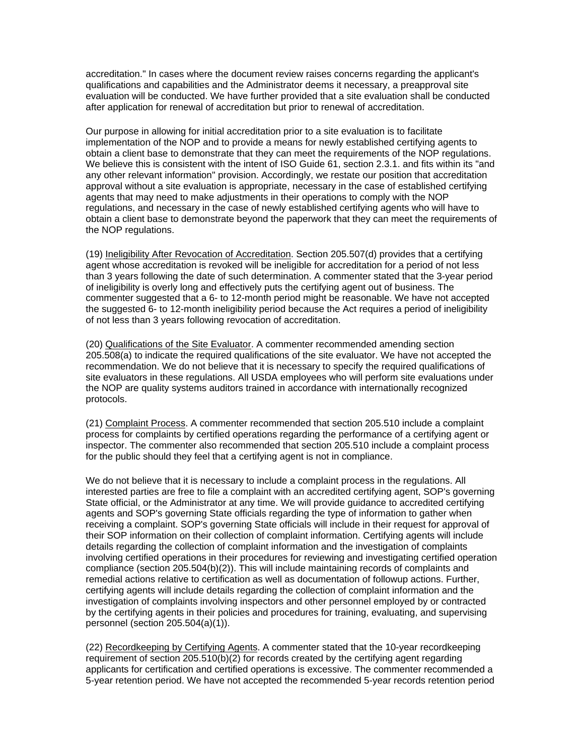accreditation." In cases where the document review raises concerns regarding the applicant's qualifications and capabilities and the Administrator deems it necessary, a preapproval site evaluation will be conducted. We have further provided that a site evaluation shall be conducted after application for renewal of accreditation but prior to renewal of accreditation.

Our purpose in allowing for initial accreditation prior to a site evaluation is to facilitate implementation of the NOP and to provide a means for newly established certifying agents to obtain a client base to demonstrate that they can meet the requirements of the NOP regulations. We believe this is consistent with the intent of ISO Guide 61, section 2.3.1. and fits within its "and any other relevant information" provision. Accordingly, we restate our position that accreditation approval without a site evaluation is appropriate, necessary in the case of established certifying agents that may need to make adjustments in their operations to comply with the NOP regulations, and necessary in the case of newly established certifying agents who will have to obtain a client base to demonstrate beyond the paperwork that they can meet the requirements of the NOP regulations.

(19) Ineligibility After Revocation of Accreditation. Section 205.507(d) provides that a certifying agent whose accreditation is revoked will be ineligible for accreditation for a period of not less than 3 years following the date of such determination. A commenter stated that the 3-year period of ineligibility is overly long and effectively puts the certifying agent out of business. The commenter suggested that a 6- to 12-month period might be reasonable. We have not accepted the suggested 6- to 12-month ineligibility period because the Act requires a period of ineligibility of not less than 3 years following revocation of accreditation.

(20) Qualifications of the Site Evaluator. A commenter recommended amending section 205.508(a) to indicate the required qualifications of the site evaluator. We have not accepted the recommendation. We do not believe that it is necessary to specify the required qualifications of site evaluators in these regulations. All USDA employees who will perform site evaluations under the NOP are quality systems auditors trained in accordance with internationally recognized protocols.

(21) Complaint Process. A commenter recommended that section 205.510 include a complaint process for complaints by certified operations regarding the performance of a certifying agent or inspector. The commenter also recommended that section 205.510 include a complaint process for the public should they feel that a certifying agent is not in compliance.

We do not believe that it is necessary to include a complaint process in the regulations. All interested parties are free to file a complaint with an accredited certifying agent, SOP's governing State official, or the Administrator at any time. We will provide guidance to accredited certifying agents and SOP's governing State officials regarding the type of information to gather when receiving a complaint. SOP's governing State officials will include in their request for approval of their SOP information on their collection of complaint information. Certifying agents will include details regarding the collection of complaint information and the investigation of complaints involving certified operations in their procedures for reviewing and investigating certified operation compliance (section 205.504(b)(2)). This will include maintaining records of complaints and remedial actions relative to certification as well as documentation of followup actions. Further, certifying agents will include details regarding the collection of complaint information and the investigation of complaints involving inspectors and other personnel employed by or contracted by the certifying agents in their policies and procedures for training, evaluating, and supervising personnel (section 205.504(a)(1)).

(22) Recordkeeping by Certifying Agents. A commenter stated that the 10-year recordkeeping requirement of section 205.510(b)(2) for records created by the certifying agent regarding applicants for certification and certified operations is excessive. The commenter recommended a 5-year retention period. We have not accepted the recommended 5-year records retention period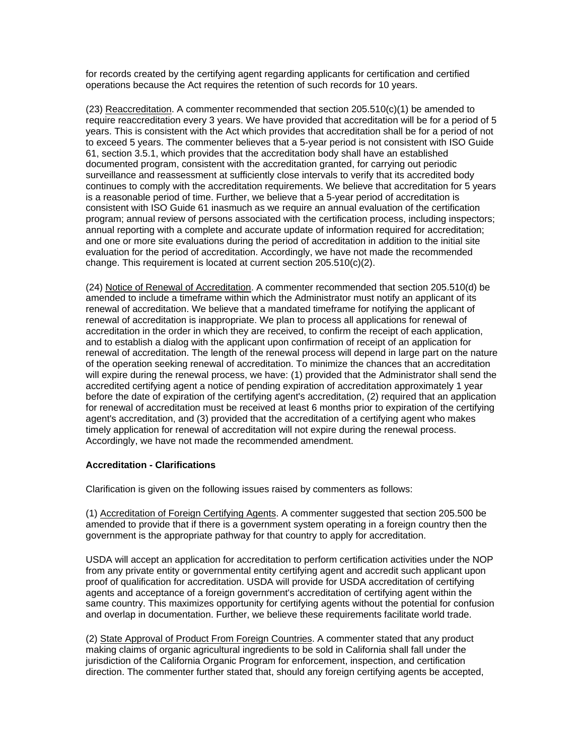for records created by the certifying agent regarding applicants for certification and certified operations because the Act requires the retention of such records for 10 years.

 $(23)$  Reaccreditation. A commenter recommended that section  $205.510(c)(1)$  be amended to require reaccreditation every 3 years. We have provided that accreditation will be for a period of 5 years. This is consistent with the Act which provides that accreditation shall be for a period of not to exceed 5 years. The commenter believes that a 5-year period is not consistent with ISO Guide 61, section 3.5.1, which provides that the accreditation body shall have an established documented program, consistent with the accreditation granted, for carrying out periodic surveillance and reassessment at sufficiently close intervals to verify that its accredited body continues to comply with the accreditation requirements. We believe that accreditation for 5 years is a reasonable period of time. Further, we believe that a 5-year period of accreditation is consistent with ISO Guide 61 inasmuch as we require an annual evaluation of the certification program; annual review of persons associated with the certification process, including inspectors; annual reporting with a complete and accurate update of information required for accreditation; and one or more site evaluations during the period of accreditation in addition to the initial site evaluation for the period of accreditation. Accordingly, we have not made the recommended change. This requirement is located at current section 205.510(c)(2).

(24) Notice of Renewal of Accreditation. A commenter recommended that section 205.510(d) be amended to include a timeframe within which the Administrator must notify an applicant of its renewal of accreditation. We believe that a mandated timeframe for notifying the applicant of renewal of accreditation is inappropriate. We plan to process all applications for renewal of accreditation in the order in which they are received, to confirm the receipt of each application, and to establish a dialog with the applicant upon confirmation of receipt of an application for renewal of accreditation. The length of the renewal process will depend in large part on the nature of the operation seeking renewal of accreditation. To minimize the chances that an accreditation will expire during the renewal process, we have: (1) provided that the Administrator shall send the accredited certifying agent a notice of pending expiration of accreditation approximately 1 year before the date of expiration of the certifying agent's accreditation, (2) required that an application for renewal of accreditation must be received at least 6 months prior to expiration of the certifying agent's accreditation, and (3) provided that the accreditation of a certifying agent who makes timely application for renewal of accreditation will not expire during the renewal process. Accordingly, we have not made the recommended amendment.

#### **Accreditation - Clarifications**

Clarification is given on the following issues raised by commenters as follows:

(1) Accreditation of Foreign Certifying Agents. A commenter suggested that section 205.500 be amended to provide that if there is a government system operating in a foreign country then the government is the appropriate pathway for that country to apply for accreditation.

USDA will accept an application for accreditation to perform certification activities under the NOP from any private entity or governmental entity certifying agent and accredit such applicant upon proof of qualification for accreditation. USDA will provide for USDA accreditation of certifying agents and acceptance of a foreign government's accreditation of certifying agent within the same country. This maximizes opportunity for certifying agents without the potential for confusion and overlap in documentation. Further, we believe these requirements facilitate world trade.

(2) State Approval of Product From Foreign Countries. A commenter stated that any product making claims of organic agricultural ingredients to be sold in California shall fall under the jurisdiction of the California Organic Program for enforcement, inspection, and certification direction. The commenter further stated that, should any foreign certifying agents be accepted,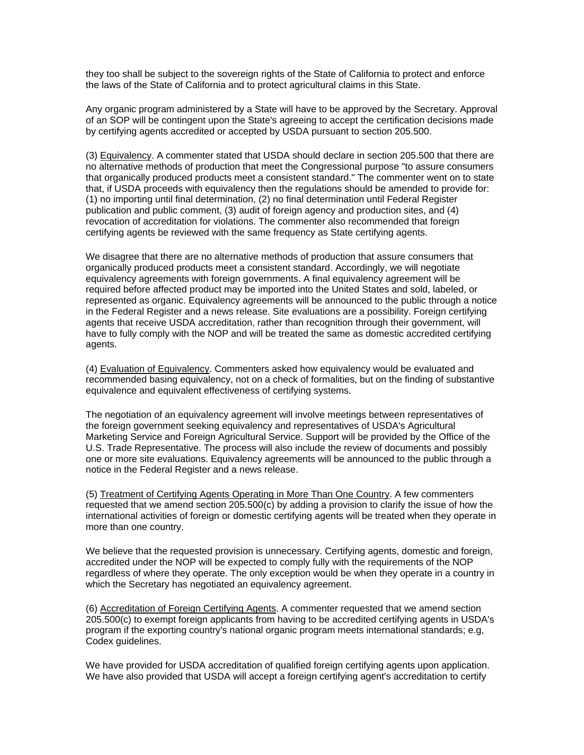they too shall be subject to the sovereign rights of the State of California to protect and enforce the laws of the State of California and to protect agricultural claims in this State.

Any organic program administered by a State will have to be approved by the Secretary. Approval of an SOP will be contingent upon the State's agreeing to accept the certification decisions made by certifying agents accredited or accepted by USDA pursuant to section 205.500.

(3) Equivalency. A commenter stated that USDA should declare in section 205.500 that there are no alternative methods of production that meet the Congressional purpose "to assure consumers that organically produced products meet a consistent standard." The commenter went on to state that, if USDA proceeds with equivalency then the regulations should be amended to provide for: (1) no importing until final determination, (2) no final determination until Federal Register publication and public comment, (3) audit of foreign agency and production sites, and (4) revocation of accreditation for violations. The commenter also recommended that foreign certifying agents be reviewed with the same frequency as State certifying agents.

We disagree that there are no alternative methods of production that assure consumers that organically produced products meet a consistent standard. Accordingly, we will negotiate equivalency agreements with foreign governments. A final equivalency agreement will be required before affected product may be imported into the United States and sold, labeled, or represented as organic. Equivalency agreements will be announced to the public through a notice in the Federal Register and a news release. Site evaluations are a possibility. Foreign certifying agents that receive USDA accreditation, rather than recognition through their government, will have to fully comply with the NOP and will be treated the same as domestic accredited certifying agents.

(4) Evaluation of Equivalency. Commenters asked how equivalency would be evaluated and recommended basing equivalency, not on a check of formalities, but on the finding of substantive equivalence and equivalent effectiveness of certifying systems.

The negotiation of an equivalency agreement will involve meetings between representatives of the foreign government seeking equivalency and representatives of USDA's Agricultural Marketing Service and Foreign Agricultural Service. Support will be provided by the Office of the U.S. Trade Representative. The process will also include the review of documents and possibly one or more site evaluations. Equivalency agreements will be announced to the public through a notice in the Federal Register and a news release.

(5) Treatment of Certifying Agents Operating in More Than One Country. A few commenters requested that we amend section 205.500(c) by adding a provision to clarify the issue of how the international activities of foreign or domestic certifying agents will be treated when they operate in more than one country.

We believe that the requested provision is unnecessary. Certifying agents, domestic and foreign, accredited under the NOP will be expected to comply fully with the requirements of the NOP regardless of where they operate. The only exception would be when they operate in a country in which the Secretary has negotiated an equivalency agreement.

(6) Accreditation of Foreign Certifying Agents. A commenter requested that we amend section 205.500(c) to exempt foreign applicants from having to be accredited certifying agents in USDA's program if the exporting country's national organic program meets international standards; e.g, Codex guidelines.

We have provided for USDA accreditation of qualified foreign certifying agents upon application. We have also provided that USDA will accept a foreign certifying agent's accreditation to certify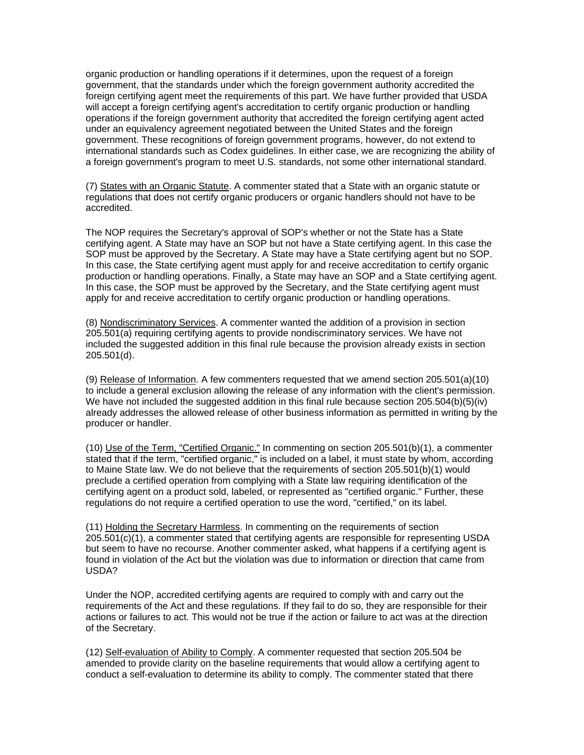organic production or handling operations if it determines, upon the request of a foreign government, that the standards under which the foreign government authority accredited the foreign certifying agent meet the requirements of this part. We have further provided that USDA will accept a foreign certifying agent's accreditation to certify organic production or handling operations if the foreign government authority that accredited the foreign certifying agent acted under an equivalency agreement negotiated between the United States and the foreign government. These recognitions of foreign government programs, however, do not extend to international standards such as Codex guidelines. In either case, we are recognizing the ability of a foreign government's program to meet U.S. standards, not some other international standard.

(7) States with an Organic Statute. A commenter stated that a State with an organic statute or regulations that does not certify organic producers or organic handlers should not have to be accredited.

The NOP requires the Secretary's approval of SOP's whether or not the State has a State certifying agent. A State may have an SOP but not have a State certifying agent. In this case the SOP must be approved by the Secretary. A State may have a State certifying agent but no SOP. In this case, the State certifying agent must apply for and receive accreditation to certify organic production or handling operations. Finally, a State may have an SOP and a State certifying agent. In this case, the SOP must be approved by the Secretary, and the State certifying agent must apply for and receive accreditation to certify organic production or handling operations.

(8) Nondiscriminatory Services. A commenter wanted the addition of a provision in section 205.501(a) requiring certifying agents to provide nondiscriminatory services. We have not included the suggested addition in this final rule because the provision already exists in section 205.501(d).

(9) Release of Information. A few commenters requested that we amend section 205.501(a)(10) to include a general exclusion allowing the release of any information with the client's permission. We have not included the suggested addition in this final rule because section 205.504(b)(5)(iv) already addresses the allowed release of other business information as permitted in writing by the producer or handler.

(10) Use of the Term, "Certified Organic." In commenting on section 205.501(b)(1), a commenter stated that if the term, "certified organic," is included on a label, it must state by whom, according to Maine State law. We do not believe that the requirements of section 205.501(b)(1) would preclude a certified operation from complying with a State law requiring identification of the certifying agent on a product sold, labeled, or represented as "certified organic." Further, these regulations do not require a certified operation to use the word, "certified," on its label.

(11) Holding the Secretary Harmless. In commenting on the requirements of section 205.501(c)(1), a commenter stated that certifying agents are responsible for representing USDA but seem to have no recourse. Another commenter asked, what happens if a certifying agent is found in violation of the Act but the violation was due to information or direction that came from USDA?

Under the NOP, accredited certifying agents are required to comply with and carry out the requirements of the Act and these regulations. If they fail to do so, they are responsible for their actions or failures to act. This would not be true if the action or failure to act was at the direction of the Secretary.

(12) Self-evaluation of Ability to Comply. A commenter requested that section 205.504 be amended to provide clarity on the baseline requirements that would allow a certifying agent to conduct a self-evaluation to determine its ability to comply. The commenter stated that there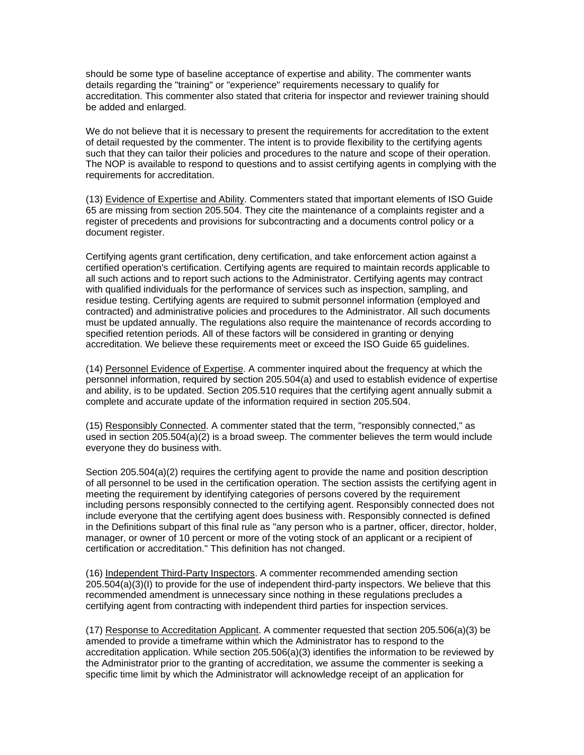should be some type of baseline acceptance of expertise and ability. The commenter wants details regarding the "training" or "experience" requirements necessary to qualify for accreditation. This commenter also stated that criteria for inspector and reviewer training should be added and enlarged.

We do not believe that it is necessary to present the requirements for accreditation to the extent of detail requested by the commenter. The intent is to provide flexibility to the certifying agents such that they can tailor their policies and procedures to the nature and scope of their operation. The NOP is available to respond to questions and to assist certifying agents in complying with the requirements for accreditation.

(13) Evidence of Expertise and Ability. Commenters stated that important elements of ISO Guide 65 are missing from section 205.504. They cite the maintenance of a complaints register and a register of precedents and provisions for subcontracting and a documents control policy or a document register.

Certifying agents grant certification, deny certification, and take enforcement action against a certified operation's certification. Certifying agents are required to maintain records applicable to all such actions and to report such actions to the Administrator. Certifying agents may contract with qualified individuals for the performance of services such as inspection, sampling, and residue testing. Certifying agents are required to submit personnel information (employed and contracted) and administrative policies and procedures to the Administrator. All such documents must be updated annually. The regulations also require the maintenance of records according to specified retention periods. All of these factors will be considered in granting or denying accreditation. We believe these requirements meet or exceed the ISO Guide 65 guidelines.

(14) Personnel Evidence of Expertise. A commenter inquired about the frequency at which the personnel information, required by section 205.504(a) and used to establish evidence of expertise and ability, is to be updated. Section 205.510 requires that the certifying agent annually submit a complete and accurate update of the information required in section 205.504.

(15) Responsibly Connected. A commenter stated that the term, "responsibly connected," as used in section  $205.504(a)(2)$  is a broad sweep. The commenter believes the term would include everyone they do business with.

Section 205.504(a)(2) requires the certifying agent to provide the name and position description of all personnel to be used in the certification operation. The section assists the certifying agent in meeting the requirement by identifying categories of persons covered by the requirement including persons responsibly connected to the certifying agent. Responsibly connected does not include everyone that the certifying agent does business with. Responsibly connected is defined in the Definitions subpart of this final rule as "any person who is a partner, officer, director, holder, manager, or owner of 10 percent or more of the voting stock of an applicant or a recipient of certification or accreditation." This definition has not changed.

(16) Independent Third-Party Inspectors. A commenter recommended amending section 205.504(a)(3)(I) to provide for the use of independent third-party inspectors. We believe that this recommended amendment is unnecessary since nothing in these regulations precludes a certifying agent from contracting with independent third parties for inspection services.

(17) Response to Accreditation Applicant. A commenter requested that section 205.506(a)(3) be amended to provide a timeframe within which the Administrator has to respond to the accreditation application. While section 205.506(a)(3) identifies the information to be reviewed by the Administrator prior to the granting of accreditation, we assume the commenter is seeking a specific time limit by which the Administrator will acknowledge receipt of an application for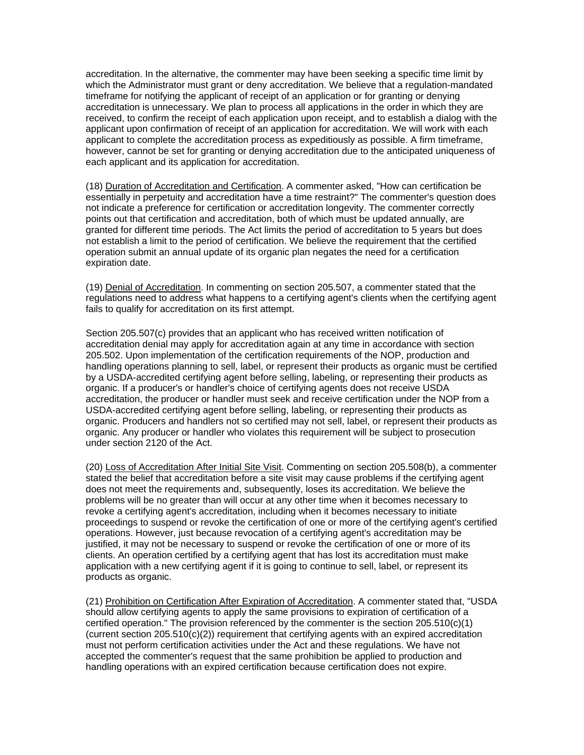accreditation. In the alternative, the commenter may have been seeking a specific time limit by which the Administrator must grant or deny accreditation. We believe that a regulation-mandated timeframe for notifying the applicant of receipt of an application or for granting or denying accreditation is unnecessary. We plan to process all applications in the order in which they are received, to confirm the receipt of each application upon receipt, and to establish a dialog with the applicant upon confirmation of receipt of an application for accreditation. We will work with each applicant to complete the accreditation process as expeditiously as possible. A firm timeframe, however, cannot be set for granting or denying accreditation due to the anticipated uniqueness of each applicant and its application for accreditation.

(18) Duration of Accreditation and Certification. A commenter asked, "How can certification be essentially in perpetuity and accreditation have a time restraint?" The commenter's question does not indicate a preference for certification or accreditation longevity. The commenter correctly points out that certification and accreditation, both of which must be updated annually, are granted for different time periods. The Act limits the period of accreditation to 5 years but does not establish a limit to the period of certification. We believe the requirement that the certified operation submit an annual update of its organic plan negates the need for a certification expiration date.

(19) Denial of Accreditation. In commenting on section 205.507, a commenter stated that the regulations need to address what happens to a certifying agent's clients when the certifying agent fails to qualify for accreditation on its first attempt.

Section 205.507(c) provides that an applicant who has received written notification of accreditation denial may apply for accreditation again at any time in accordance with section 205.502. Upon implementation of the certification requirements of the NOP, production and handling operations planning to sell, label, or represent their products as organic must be certified by a USDA-accredited certifying agent before selling, labeling, or representing their products as organic. If a producer's or handler's choice of certifying agents does not receive USDA accreditation, the producer or handler must seek and receive certification under the NOP from a USDA-accredited certifying agent before selling, labeling, or representing their products as organic. Producers and handlers not so certified may not sell, label, or represent their products as organic. Any producer or handler who violates this requirement will be subject to prosecution under section 2120 of the Act.

(20) Loss of Accreditation After Initial Site Visit. Commenting on section 205.508(b), a commenter stated the belief that accreditation before a site visit may cause problems if the certifying agent does not meet the requirements and, subsequently, loses its accreditation. We believe the problems will be no greater than will occur at any other time when it becomes necessary to revoke a certifying agent's accreditation, including when it becomes necessary to initiate proceedings to suspend or revoke the certification of one or more of the certifying agent's certified operations. However, just because revocation of a certifying agent's accreditation may be justified, it may not be necessary to suspend or revoke the certification of one or more of its clients. An operation certified by a certifying agent that has lost its accreditation must make application with a new certifying agent if it is going to continue to sell, label, or represent its products as organic.

(21) Prohibition on Certification After Expiration of Accreditation. A commenter stated that, "USDA should allow certifying agents to apply the same provisions to expiration of certification of a certified operation." The provision referenced by the commenter is the section 205.510(c)(1) (current section 205.510(c)(2)) requirement that certifying agents with an expired accreditation must not perform certification activities under the Act and these regulations. We have not accepted the commenter's request that the same prohibition be applied to production and handling operations with an expired certification because certification does not expire.